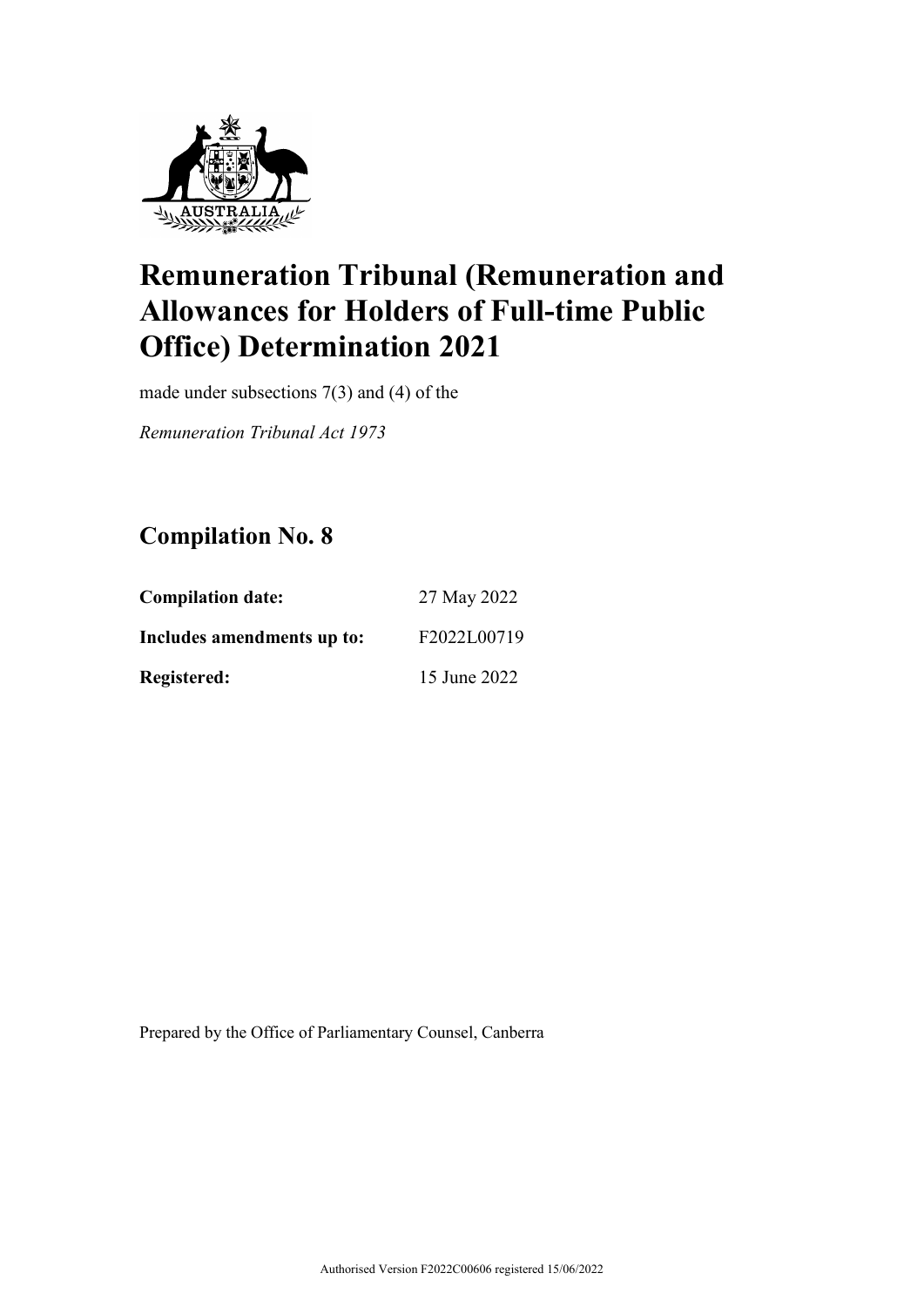

made under subsections 7(3) and (4) of the

*Remuneration Tribunal Act 1973*

## **Compilation No. 8**

| <b>Compilation date:</b>   | 27 May 2022  |
|----------------------------|--------------|
| Includes amendments up to: | F2022L00719  |
| <b>Registered:</b>         | 15 June 2022 |

Prepared by the Office of Parliamentary Counsel, Canberra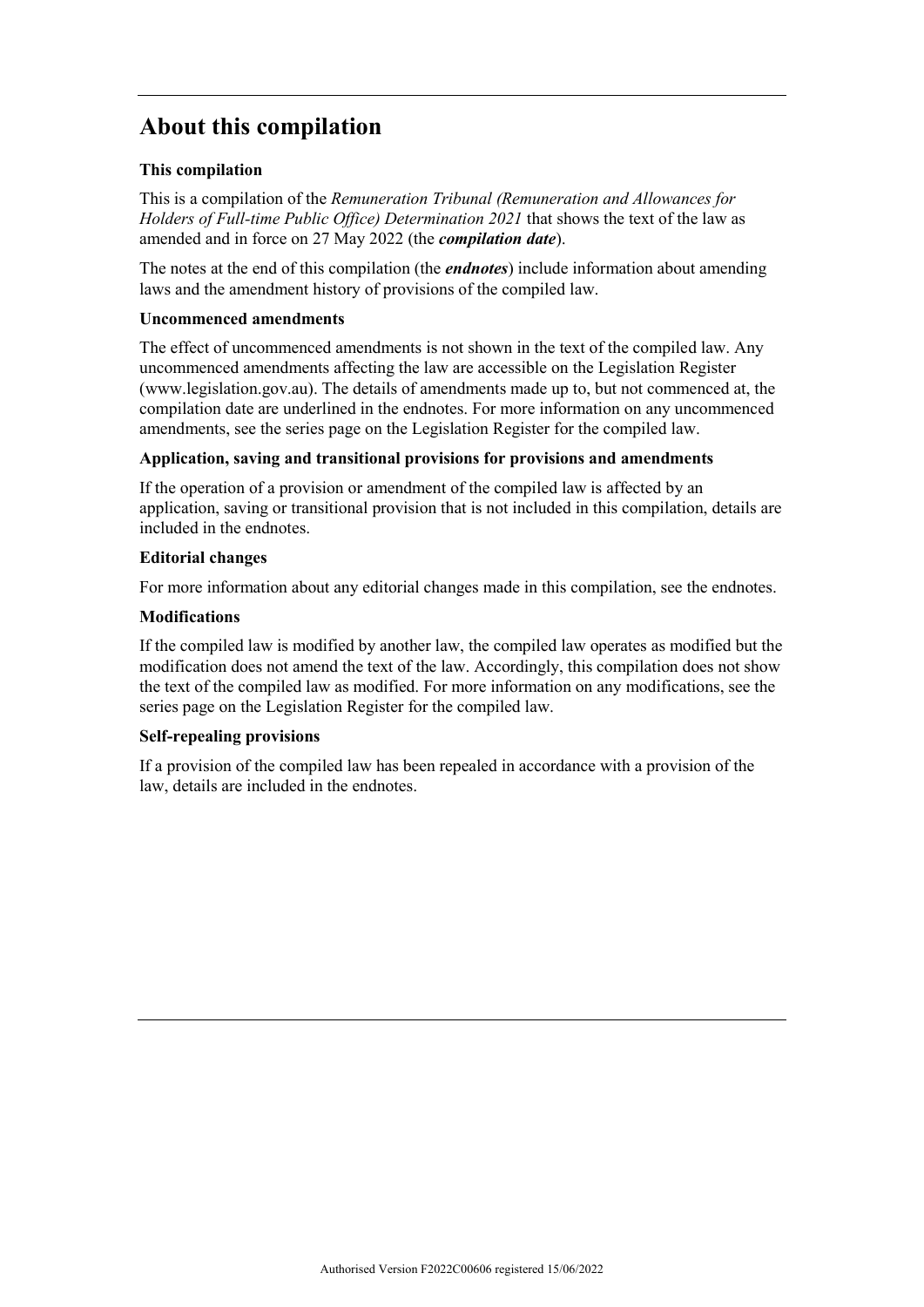## **About this compilation**

#### **This compilation**

This is a compilation of the *Remuneration Tribunal (Remuneration and Allowances for Holders of Full-time Public Office) Determination 2021* that shows the text of the law as amended and in force on 27 May 2022 (the *compilation date*).

The notes at the end of this compilation (the *endnotes*) include information about amending laws and the amendment history of provisions of the compiled law.

#### **Uncommenced amendments**

The effect of uncommenced amendments is not shown in the text of the compiled law. Any uncommenced amendments affecting the law are accessible on the Legislation Register (www.legislation.gov.au). The details of amendments made up to, but not commenced at, the compilation date are underlined in the endnotes. For more information on any uncommenced amendments, see the series page on the Legislation Register for the compiled law.

#### **Application, saving and transitional provisions for provisions and amendments**

If the operation of a provision or amendment of the compiled law is affected by an application, saving or transitional provision that is not included in this compilation, details are included in the endnotes.

#### **Editorial changes**

For more information about any editorial changes made in this compilation, see the endnotes.

#### **Modifications**

If the compiled law is modified by another law, the compiled law operates as modified but the modification does not amend the text of the law. Accordingly, this compilation does not show the text of the compiled law as modified. For more information on any modifications, see the series page on the Legislation Register for the compiled law.

#### **Self-repealing provisions**

If a provision of the compiled law has been repealed in accordance with a provision of the law, details are included in the endnotes.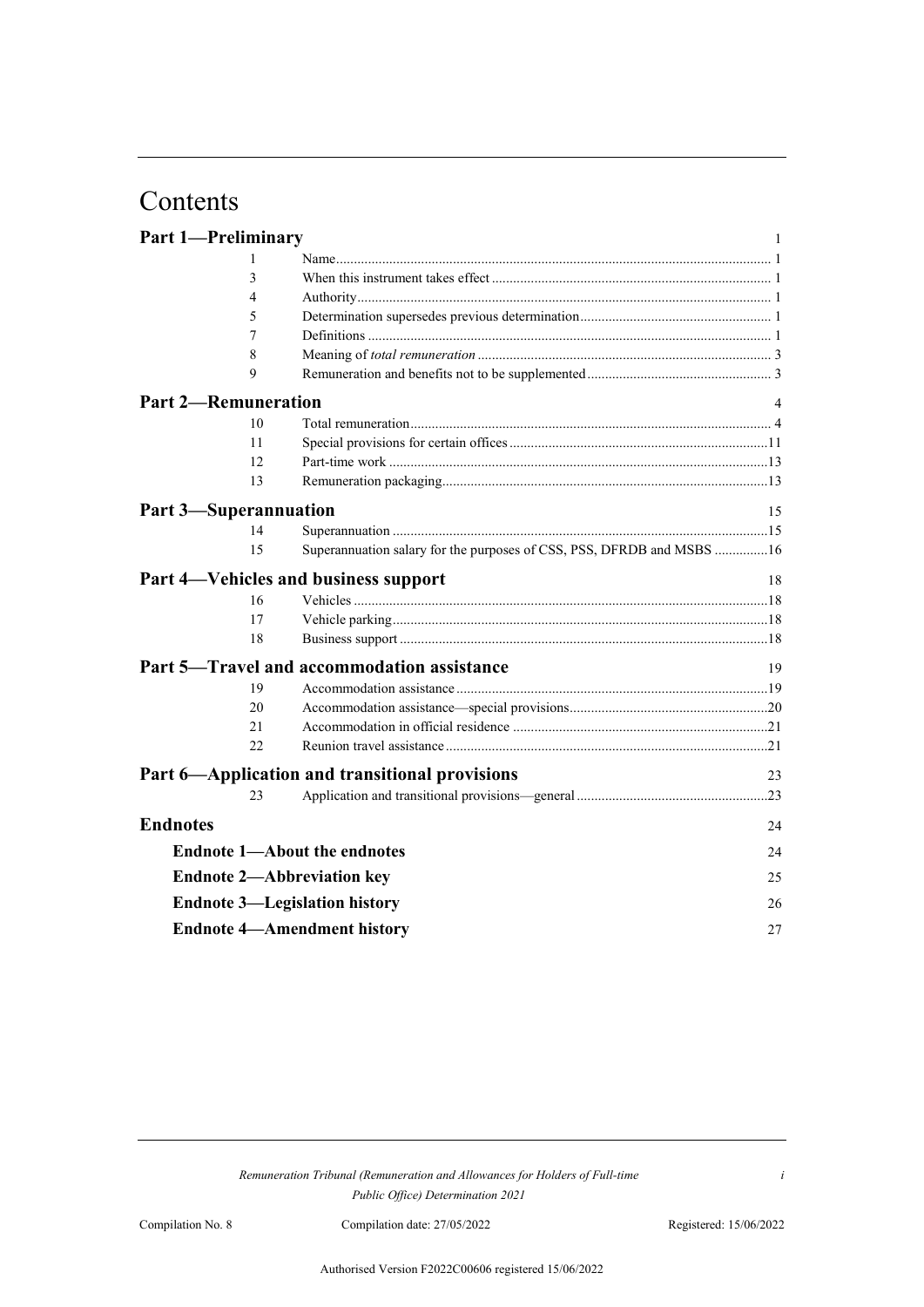# Contents

|                 | <b>Part 1-Preliminary</b>    |                                                                       | 1  |
|-----------------|------------------------------|-----------------------------------------------------------------------|----|
|                 | 1                            |                                                                       |    |
|                 | 3                            |                                                                       |    |
|                 | 4                            |                                                                       |    |
|                 | 5                            |                                                                       |    |
|                 | 7                            |                                                                       |    |
|                 | 8                            |                                                                       |    |
|                 | 9                            |                                                                       |    |
|                 | <b>Part 2-Remuneration</b>   |                                                                       |    |
|                 | 10                           |                                                                       |    |
|                 | 11                           |                                                                       |    |
|                 | 12                           |                                                                       |    |
|                 | 13                           |                                                                       |    |
|                 | <b>Part 3-Superannuation</b> |                                                                       | 15 |
|                 | 14                           |                                                                       |    |
|                 | 15                           | Superannuation salary for the purposes of CSS, PSS, DFRDB and MSBS 16 |    |
|                 |                              | Part 4-Vehicles and business support                                  | 18 |
|                 | 16                           |                                                                       |    |
|                 | 17                           |                                                                       |    |
|                 | 18                           |                                                                       |    |
|                 |                              | Part 5—Travel and accommodation assistance                            | 19 |
|                 | 19                           |                                                                       |    |
|                 | 20                           |                                                                       |    |
|                 | 2.1                          |                                                                       |    |
|                 | 22                           |                                                                       |    |
|                 |                              | Part 6-Application and transitional provisions                        | 23 |
|                 | 23                           |                                                                       |    |
| <b>Endnotes</b> |                              |                                                                       | 24 |
|                 |                              | <b>Endnote 1-About the endnotes</b>                                   | 24 |
|                 |                              | <b>Endnote 2-Abbreviation key</b>                                     | 25 |
|                 |                              | <b>Endnote 3—Legislation history</b>                                  | 26 |
|                 |                              | <b>Endnote 4-Amendment history</b>                                    | 27 |

*Remuneration Tribunal (Remuneration and Allowances for Holders of Full-time Public Office) Determination 2021*

*i*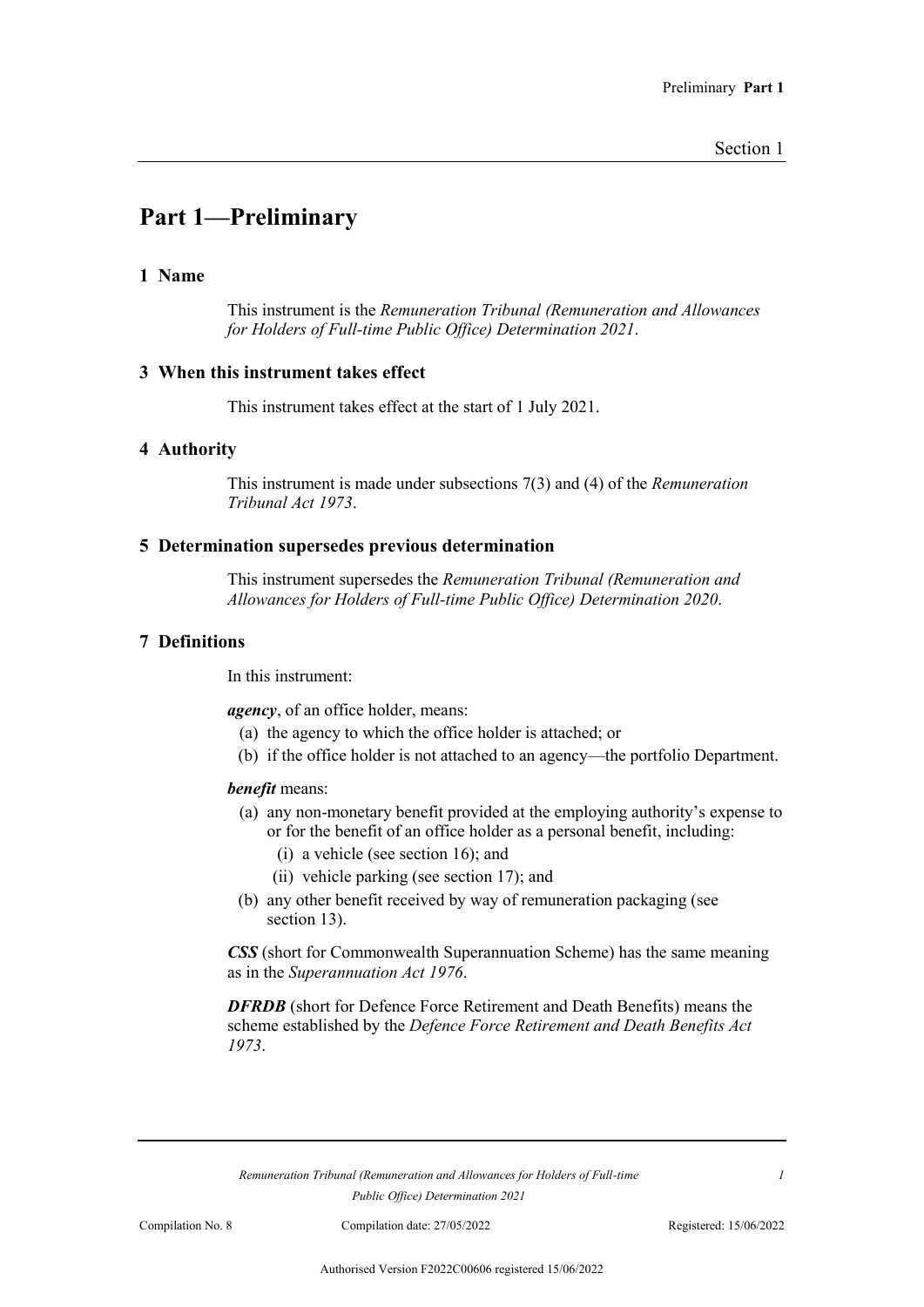## **Part 1—Preliminary**

#### **1 Name**

This instrument is the *Remuneration Tribunal (Remuneration and Allowances for Holders of Full-time Public Office) Determination 2021*.

#### **3 When this instrument takes effect**

This instrument takes effect at the start of 1 July 2021.

#### **4 Authority**

This instrument is made under subsections 7(3) and (4) of the *Remuneration Tribunal Act 1973*.

#### **5 Determination supersedes previous determination**

This instrument supersedes the *Remuneration Tribunal (Remuneration and Allowances for Holders of Full-time Public Office) Determination 2020*.

#### **7 Definitions**

In this instrument:

*agency*, of an office holder, means:

- (a) the agency to which the office holder is attached; or
- (b) if the office holder is not attached to an agency—the portfolio Department.

#### *benefit* means:

- (a) any non-monetary benefit provided at the employing authority's expense to or for the benefit of an office holder as a personal benefit, including:
	- (i) a vehicle (see section 16); and
	- (ii) vehicle parking (see section 17); and
- (b) any other benefit received by way of remuneration packaging (see section 13).

*CSS* (short for Commonwealth Superannuation Scheme) has the same meaning as in the *Superannuation Act 1976*.

*DFRDB* (short for Defence Force Retirement and Death Benefits) means the scheme established by the *Defence Force Retirement and Death Benefits Act 1973*.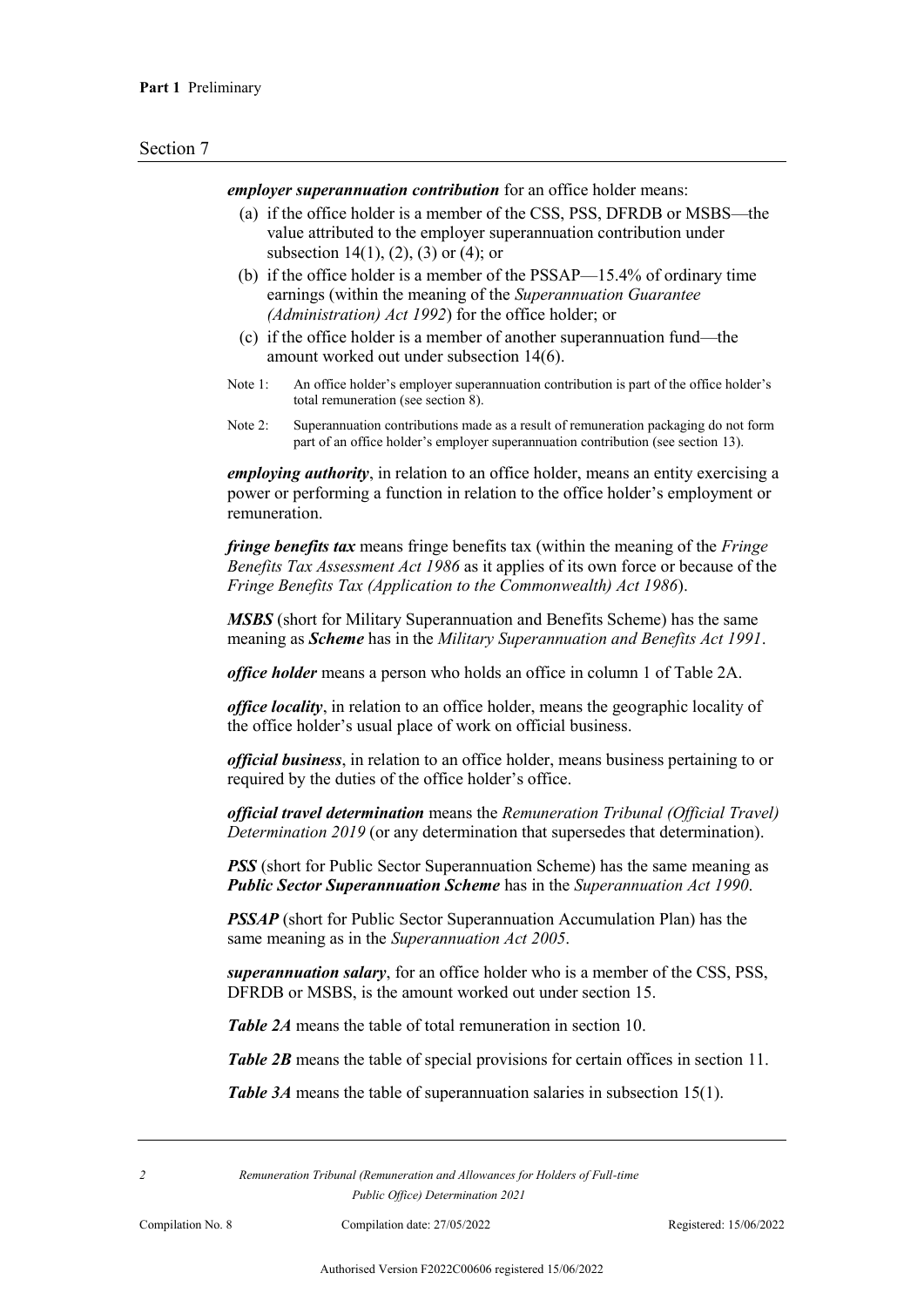*employer superannuation contribution* for an office holder means:

- (a) if the office holder is a member of the CSS, PSS, DFRDB or MSBS—the value attributed to the employer superannuation contribution under subsection 14(1), (2), (3) or (4); or
- (b) if the office holder is a member of the PSSAP—15.4% of ordinary time earnings (within the meaning of the *Superannuation Guarantee (Administration) Act 1992*) for the office holder; or
- (c) if the office holder is a member of another superannuation fund—the amount worked out under subsection 14(6).
- Note 1: An office holder's employer superannuation contribution is part of the office holder's total remuneration (see section 8).
- Note 2: Superannuation contributions made as a result of remuneration packaging do not form part of an office holder's employer superannuation contribution (see section 13).

*employing authority*, in relation to an office holder, means an entity exercising a power or performing a function in relation to the office holder's employment or remuneration.

*fringe benefits tax* means fringe benefits tax (within the meaning of the *Fringe Benefits Tax Assessment Act 1986* as it applies of its own force or because of the *Fringe Benefits Tax (Application to the Commonwealth) Act 1986*).

*MSBS* (short for Military Superannuation and Benefits Scheme) has the same meaning as *Scheme* has in the *Military Superannuation and Benefits Act 1991*.

*office holder* means a person who holds an office in column 1 of Table 2A.

*office locality*, in relation to an office holder, means the geographic locality of the office holder's usual place of work on official business.

*official business*, in relation to an office holder, means business pertaining to or required by the duties of the office holder's office.

*official travel determination* means the *Remuneration Tribunal (Official Travel) Determination 2019* (or any determination that supersedes that determination).

*PSS* (short for Public Sector Superannuation Scheme) has the same meaning as *Public Sector Superannuation Scheme* has in the *Superannuation Act 1990*.

*PSSAP* (short for Public Sector Superannuation Accumulation Plan) has the same meaning as in the *Superannuation Act 2005*.

*superannuation salary*, for an office holder who is a member of the CSS, PSS, DFRDB or MSBS, is the amount worked out under section 15.

*Table 2A* means the table of total remuneration in section 10.

*Table 2B* means the table of special provisions for certain offices in section 11.

*Table 3A* means the table of superannuation salaries in subsection 15(1).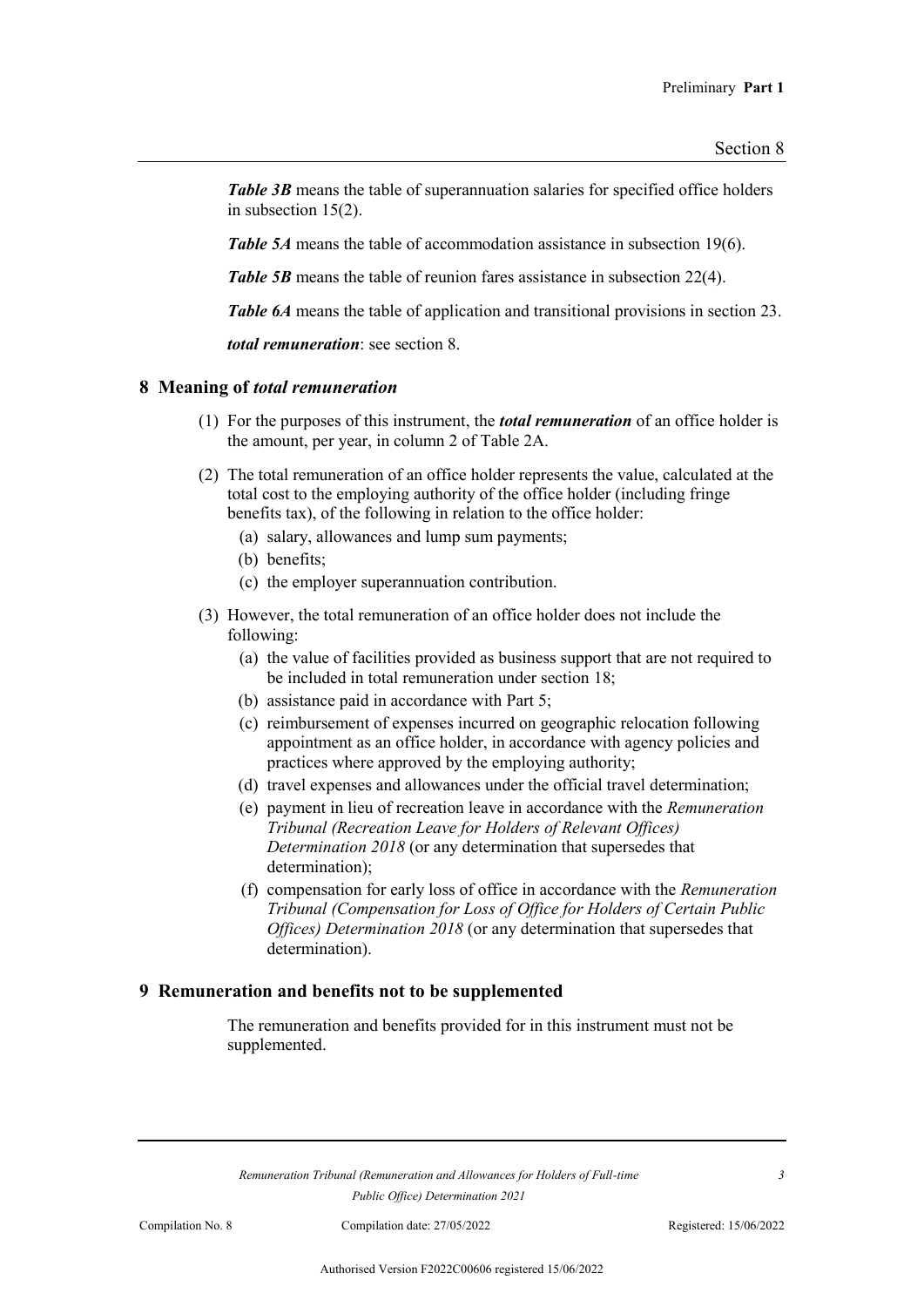**Table 3B** means the table of superannuation salaries for specified office holders in subsection 15(2).

*Table 5A* means the table of accommodation assistance in subsection 19(6).

*Table 5B* means the table of reunion fares assistance in subsection 22(4).

*Table 6A* means the table of application and transitional provisions in section 23.

*total remuneration*: see section 8.

#### **8 Meaning of** *total remuneration*

- (1) For the purposes of this instrument, the *total remuneration* of an office holder is the amount, per year, in column 2 of Table 2A.
- (2) The total remuneration of an office holder represents the value, calculated at the total cost to the employing authority of the office holder (including fringe benefits tax), of the following in relation to the office holder:
	- (a) salary, allowances and lump sum payments;
	- (b) benefits;
	- (c) the employer superannuation contribution.
- (3) However, the total remuneration of an office holder does not include the following:
	- (a) the value of facilities provided as business support that are not required to be included in total remuneration under section 18;
	- (b) assistance paid in accordance with Part 5;
	- (c) reimbursement of expenses incurred on geographic relocation following appointment as an office holder, in accordance with agency policies and practices where approved by the employing authority;
	- (d) travel expenses and allowances under the official travel determination;
	- (e) payment in lieu of recreation leave in accordance with the *Remuneration Tribunal (Recreation Leave for Holders of Relevant Offices) Determination 2018* (or any determination that supersedes that determination);
	- (f) compensation for early loss of office in accordance with the *Remuneration Tribunal (Compensation for Loss of Office for Holders of Certain Public Offices) Determination 2018* (or any determination that supersedes that determination).

#### **9 Remuneration and benefits not to be supplemented**

The remuneration and benefits provided for in this instrument must not be supplemented.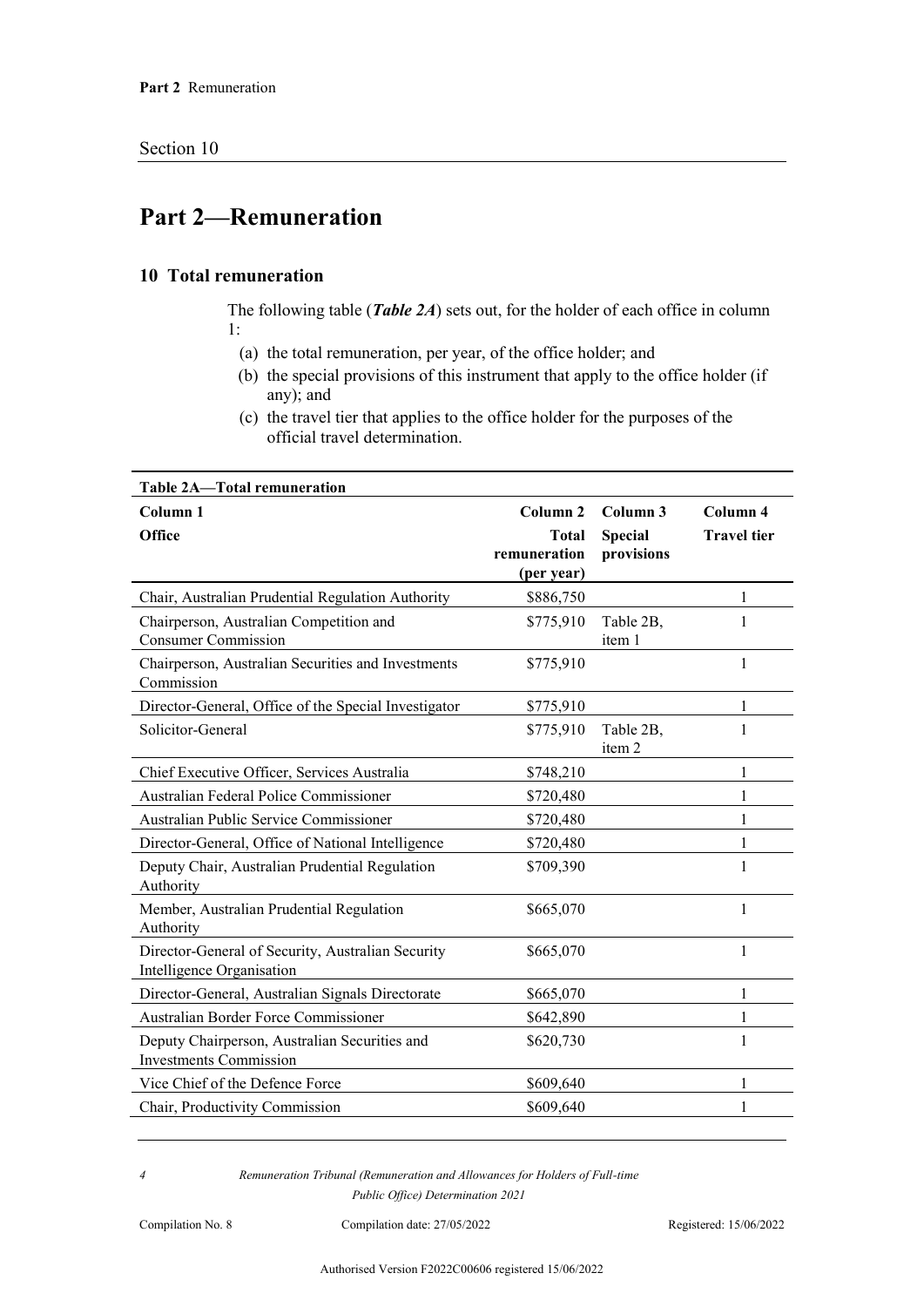## **Part 2—Remuneration**

#### **10 Total remuneration**

The following table (*Table 2A*) sets out, for the holder of each office in column 1:

- (a) the total remuneration, per year, of the office holder; and
- (b) the special provisions of this instrument that apply to the office holder (if any); and
- (c) the travel tier that applies to the office holder for the purposes of the official travel determination.

| Table 2A-Total remuneration                                                    |                            |                     |                    |
|--------------------------------------------------------------------------------|----------------------------|---------------------|--------------------|
| Column <sub>1</sub>                                                            | Column <sub>2</sub>        | Column 3            | Column 4           |
| <b>Office</b>                                                                  | <b>Total</b>               | <b>Special</b>      | <b>Travel tier</b> |
|                                                                                | remuneration<br>(per year) | provisions          |                    |
| Chair, Australian Prudential Regulation Authority                              | \$886,750                  |                     | 1                  |
| Chairperson, Australian Competition and<br><b>Consumer Commission</b>          | \$775,910                  | Table 2B,<br>item 1 |                    |
| Chairperson, Australian Securities and Investments<br>Commission               | \$775,910                  |                     | 1                  |
| Director-General, Office of the Special Investigator                           | \$775,910                  |                     | 1                  |
| Solicitor-General                                                              | \$775,910                  | Table 2B,<br>item 2 | 1                  |
| Chief Executive Officer, Services Australia                                    | \$748,210                  |                     | 1                  |
| Australian Federal Police Commissioner                                         | \$720,480                  |                     | 1                  |
| Australian Public Service Commissioner                                         | \$720,480                  |                     | 1                  |
| Director-General, Office of National Intelligence                              | \$720,480                  |                     | 1                  |
| Deputy Chair, Australian Prudential Regulation<br>Authority                    | \$709,390                  |                     | 1                  |
| Member, Australian Prudential Regulation<br>Authority                          | \$665,070                  |                     | 1                  |
| Director-General of Security, Australian Security<br>Intelligence Organisation | \$665,070                  |                     | 1                  |
| Director-General, Australian Signals Directorate                               | \$665,070                  |                     | 1                  |
| Australian Border Force Commissioner                                           | \$642,890                  |                     | 1                  |
| Deputy Chairperson, Australian Securities and<br><b>Investments Commission</b> | \$620,730                  |                     | 1                  |
| Vice Chief of the Defence Force                                                | \$609,640                  |                     | 1                  |
| Chair, Productivity Commission                                                 | \$609,640                  |                     | 1                  |

*4 Remuneration Tribunal (Remuneration and Allowances for Holders of Full-time Public Office) Determination 2021*

Compilation No. 8 Compilation date: 27/05/2022 Registered: 15/06/2022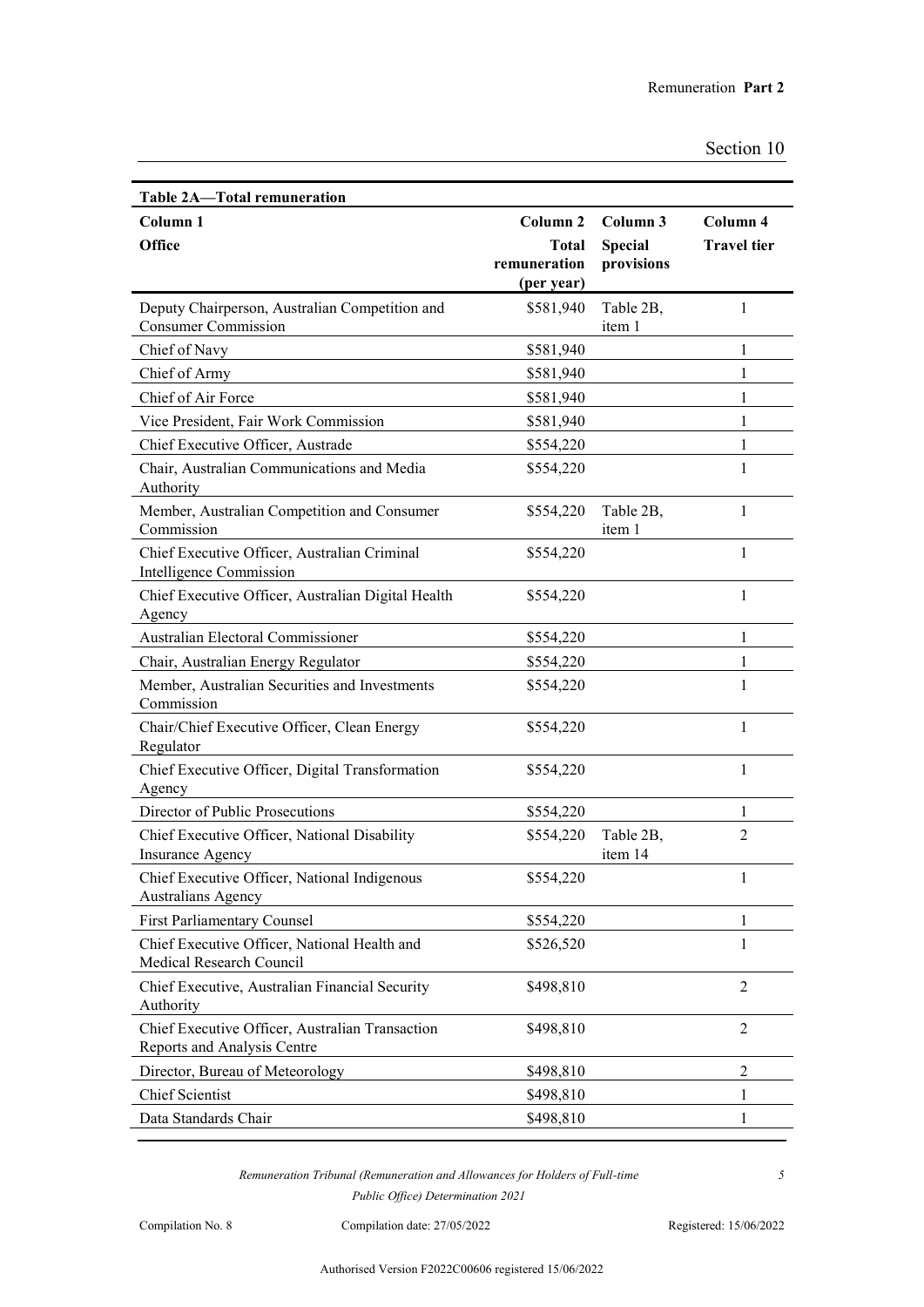| Table 2A-Total remuneration                                                    |                            |                      |                    |
|--------------------------------------------------------------------------------|----------------------------|----------------------|--------------------|
| Column 1                                                                       | Column <sub>2</sub>        | Column 3             | Column 4           |
| Office                                                                         | Total                      | <b>Special</b>       | <b>Travel tier</b> |
|                                                                                | remuneration<br>(per year) | provisions           |                    |
| Deputy Chairperson, Australian Competition and                                 | \$581,940                  | Table 2B,            | 1                  |
| <b>Consumer Commission</b>                                                     |                            | item 1               |                    |
| Chief of Navy                                                                  | \$581,940                  |                      | 1                  |
| Chief of Army                                                                  | \$581,940                  |                      | $\mathbf{1}$       |
| Chief of Air Force                                                             | \$581,940                  |                      | 1                  |
| Vice President, Fair Work Commission                                           | \$581,940                  |                      | $\mathbf{1}$       |
| Chief Executive Officer, Austrade                                              | \$554,220                  |                      | 1                  |
| Chair, Australian Communications and Media<br>Authority                        | \$554,220                  |                      | 1                  |
| Member, Australian Competition and Consumer<br>Commission                      | \$554,220                  | Table 2B,<br>item 1  | 1                  |
| Chief Executive Officer, Australian Criminal<br>Intelligence Commission        | \$554,220                  |                      | $\mathbf{1}$       |
| Chief Executive Officer, Australian Digital Health<br>Agency                   | \$554,220                  |                      | $\mathbf{1}$       |
| Australian Electoral Commissioner                                              | \$554,220                  |                      | $\mathbf{1}$       |
| Chair, Australian Energy Regulator                                             | \$554,220                  |                      | 1                  |
| Member, Australian Securities and Investments                                  | \$554,220                  |                      | 1                  |
| Commission                                                                     |                            |                      |                    |
| Chair/Chief Executive Officer, Clean Energy<br>Regulator                       | \$554,220                  |                      | $\mathbf{1}$       |
| Chief Executive Officer, Digital Transformation<br>Agency                      | \$554,220                  |                      | $\mathbf{1}$       |
| Director of Public Prosecutions                                                | \$554,220                  |                      | $\mathbf{1}$       |
| Chief Executive Officer, National Disability<br><b>Insurance Agency</b>        | \$554,220                  | Table 2B,<br>item 14 | 2                  |
| Chief Executive Officer, National Indigenous<br><b>Australians Agency</b>      | \$554,220                  |                      |                    |
| <b>First Parliamentary Counsel</b>                                             | \$554,220                  |                      | 1                  |
| Chief Executive Officer, National Health and<br>Medical Research Council       | \$526,520                  |                      | 1                  |
| Chief Executive, Australian Financial Security<br>Authority                    | \$498,810                  |                      | $\overline{2}$     |
| Chief Executive Officer, Australian Transaction<br>Reports and Analysis Centre | \$498,810                  |                      | $\overline{2}$     |
| Director, Bureau of Meteorology                                                | \$498,810                  |                      | $\overline{2}$     |
| <b>Chief Scientist</b>                                                         | \$498,810                  |                      | $\mathbf{1}$       |
| Data Standards Chair                                                           | \$498,810                  |                      | 1                  |

Compilation No. 8 Compilation date: 27/05/2022 Registered: 15/06/2022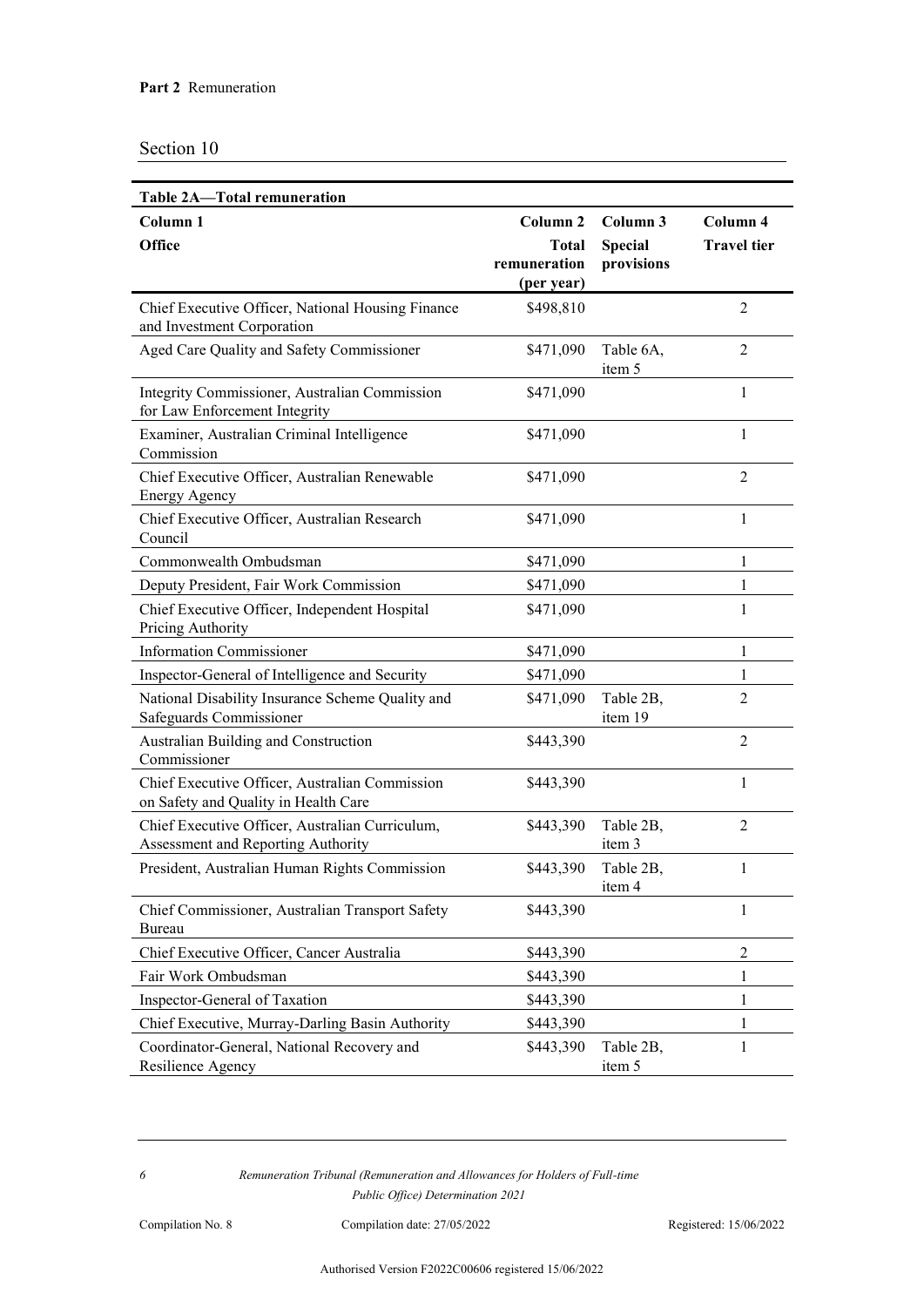| <b>Table 2A-Total remuneration</b>                                                     |                                                                   |                                          |                                |
|----------------------------------------------------------------------------------------|-------------------------------------------------------------------|------------------------------------------|--------------------------------|
| Column <sub>1</sub><br>Office                                                          | Column <sub>2</sub><br><b>Total</b><br>remuneration<br>(per year) | Column 3<br><b>Special</b><br>provisions | Column 4<br><b>Travel tier</b> |
| Chief Executive Officer, National Housing Finance<br>and Investment Corporation        | \$498,810                                                         |                                          | $\overline{2}$                 |
| Aged Care Quality and Safety Commissioner                                              | \$471,090                                                         | Table 6A,<br>item 5                      | $\overline{2}$                 |
| Integrity Commissioner, Australian Commission<br>for Law Enforcement Integrity         | \$471,090                                                         |                                          | 1                              |
| Examiner, Australian Criminal Intelligence<br>Commission                               | \$471,090                                                         |                                          | $\mathbf{1}$                   |
| Chief Executive Officer, Australian Renewable<br><b>Energy Agency</b>                  | \$471,090                                                         |                                          | $\overline{2}$                 |
| Chief Executive Officer, Australian Research<br>Council                                | \$471,090                                                         |                                          | $\mathbf{1}$                   |
| Commonwealth Ombudsman                                                                 | \$471,090                                                         |                                          | 1                              |
| Deputy President, Fair Work Commission                                                 | \$471,090                                                         |                                          | 1                              |
| Chief Executive Officer, Independent Hospital<br>Pricing Authority                     | \$471,090                                                         |                                          | 1                              |
| <b>Information Commissioner</b>                                                        | \$471,090                                                         |                                          | 1                              |
| Inspector-General of Intelligence and Security                                         | \$471,090                                                         |                                          | 1                              |
| National Disability Insurance Scheme Quality and<br>Safeguards Commissioner            | \$471,090                                                         | Table 2B,<br>item 19                     | $\overline{2}$                 |
| Australian Building and Construction<br>Commissioner                                   | \$443,390                                                         |                                          | $\overline{2}$                 |
| Chief Executive Officer, Australian Commission<br>on Safety and Quality in Health Care | \$443,390                                                         |                                          | $\mathbf{1}$                   |
| Chief Executive Officer, Australian Curriculum,<br>Assessment and Reporting Authority  | \$443,390                                                         | Table 2B,<br>item 3                      | $\overline{2}$                 |
| President, Australian Human Rights Commission                                          |                                                                   | \$443,390 Table 2B,<br>item 4            | 1                              |
| Chief Commissioner, Australian Transport Safety<br>Bureau                              | \$443,390                                                         |                                          | 1                              |
| Chief Executive Officer, Cancer Australia                                              | \$443,390                                                         |                                          | 2                              |
| Fair Work Ombudsman                                                                    | \$443,390                                                         |                                          | 1                              |
| Inspector-General of Taxation                                                          | \$443,390                                                         |                                          | 1                              |
| Chief Executive, Murray-Darling Basin Authority                                        | \$443,390                                                         |                                          | 1                              |
| Coordinator-General, National Recovery and<br>Resilience Agency                        | \$443,390                                                         | Table 2B,<br>item 5                      | 1                              |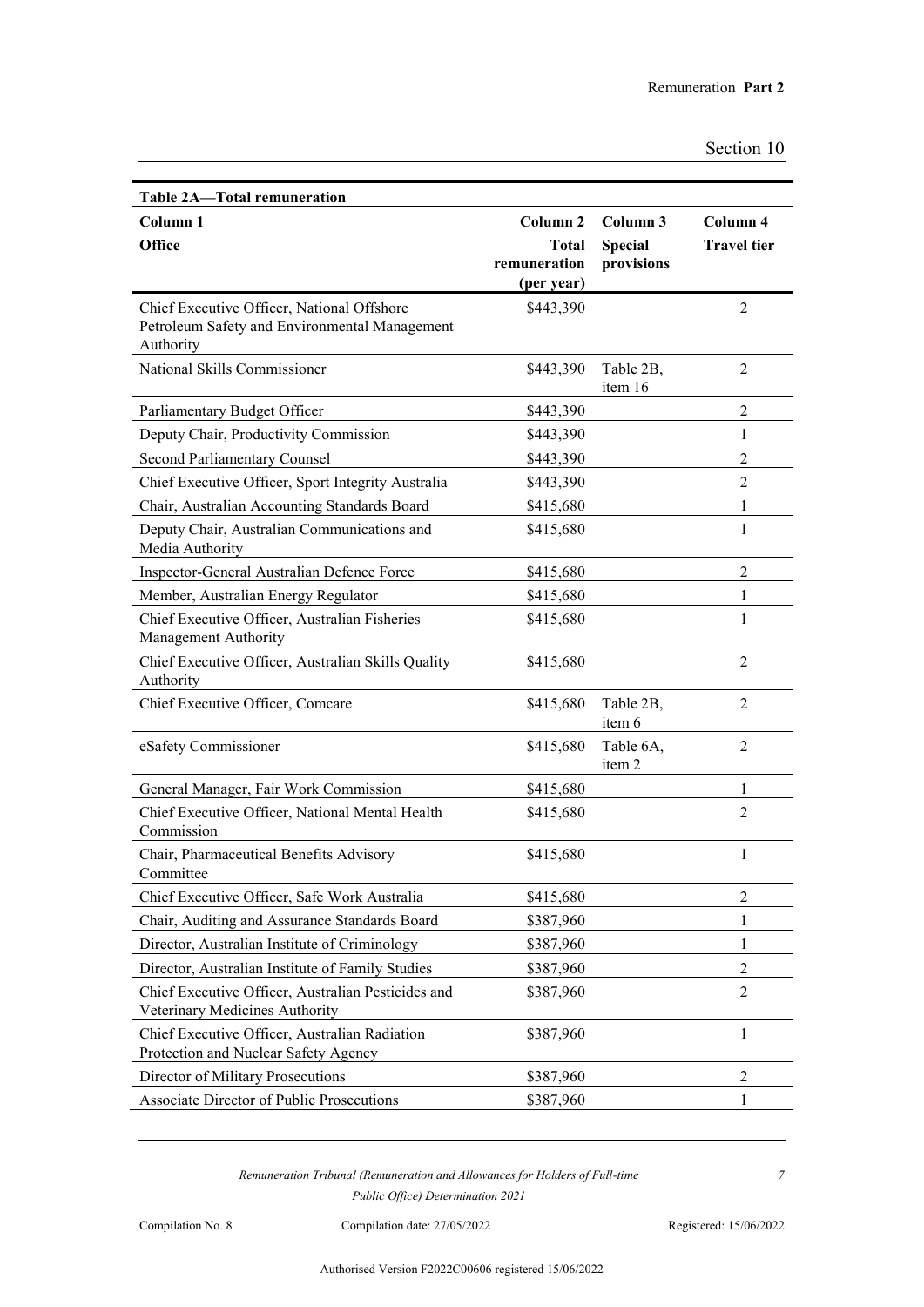| Table 2A—Total remuneration                                                                 |                     |                     |                    |
|---------------------------------------------------------------------------------------------|---------------------|---------------------|--------------------|
| Column 1                                                                                    | Column <sub>2</sub> | Column 3            | Column 4           |
| <b>Office</b>                                                                               | <b>Total</b>        | <b>Special</b>      | <b>Travel</b> tier |
|                                                                                             | remuneration        | provisions          |                    |
|                                                                                             | (per year)          |                     |                    |
| Chief Executive Officer, National Offshore<br>Petroleum Safety and Environmental Management | \$443,390           |                     | $\overline{2}$     |
| Authority                                                                                   |                     |                     |                    |
| National Skills Commissioner                                                                | \$443,390           | Table 2B,           | $\overline{2}$     |
|                                                                                             |                     | item 16             |                    |
| Parliamentary Budget Officer                                                                | \$443,390           |                     | $\overline{2}$     |
| Deputy Chair, Productivity Commission                                                       | \$443,390           |                     | 1                  |
| Second Parliamentary Counsel                                                                | \$443,390           |                     | $\overline{2}$     |
| Chief Executive Officer, Sport Integrity Australia                                          | \$443,390           |                     | $\overline{2}$     |
| Chair, Australian Accounting Standards Board                                                | \$415,680           |                     | 1                  |
| Deputy Chair, Australian Communications and<br>Media Authority                              | \$415,680           |                     | $\mathbf{1}$       |
| Inspector-General Australian Defence Force                                                  | \$415,680           |                     | 2                  |
| Member, Australian Energy Regulator                                                         | \$415,680           |                     | 1                  |
| Chief Executive Officer, Australian Fisheries<br>Management Authority                       | \$415,680           |                     | 1                  |
| Chief Executive Officer, Australian Skills Quality<br>Authority                             | \$415,680           |                     | $\overline{2}$     |
| Chief Executive Officer, Comcare                                                            | \$415,680           | Table 2B,<br>item 6 | $\overline{2}$     |
| eSafety Commissioner                                                                        | \$415,680           | Table 6A,<br>item 2 | $\overline{2}$     |
| General Manager, Fair Work Commission                                                       | \$415,680           |                     | 1                  |
| Chief Executive Officer, National Mental Health<br>Commission                               | \$415,680           |                     | $\overline{2}$     |
| Chair, Pharmaceutical Benefits Advisory<br>Committee                                        | \$415,680           |                     | $\mathbf{1}$       |
| Chief Executive Officer, Safe Work Australia                                                | \$415,680           |                     | 2                  |
| Chair, Auditing and Assurance Standards Board                                               | \$387,960           |                     | 1                  |
| Director, Australian Institute of Criminology                                               | \$387,960           |                     | L                  |
| Director, Australian Institute of Family Studies                                            | \$387,960           |                     | 2                  |
| Chief Executive Officer, Australian Pesticides and<br>Veterinary Medicines Authority        | \$387,960           |                     | $\overline{2}$     |
| Chief Executive Officer, Australian Radiation<br>Protection and Nuclear Safety Agency       | \$387,960           |                     | 1                  |
| Director of Military Prosecutions                                                           | \$387,960           |                     | $\overline{2}$     |
| <b>Associate Director of Public Prosecutions</b>                                            | \$387,960           |                     | 1                  |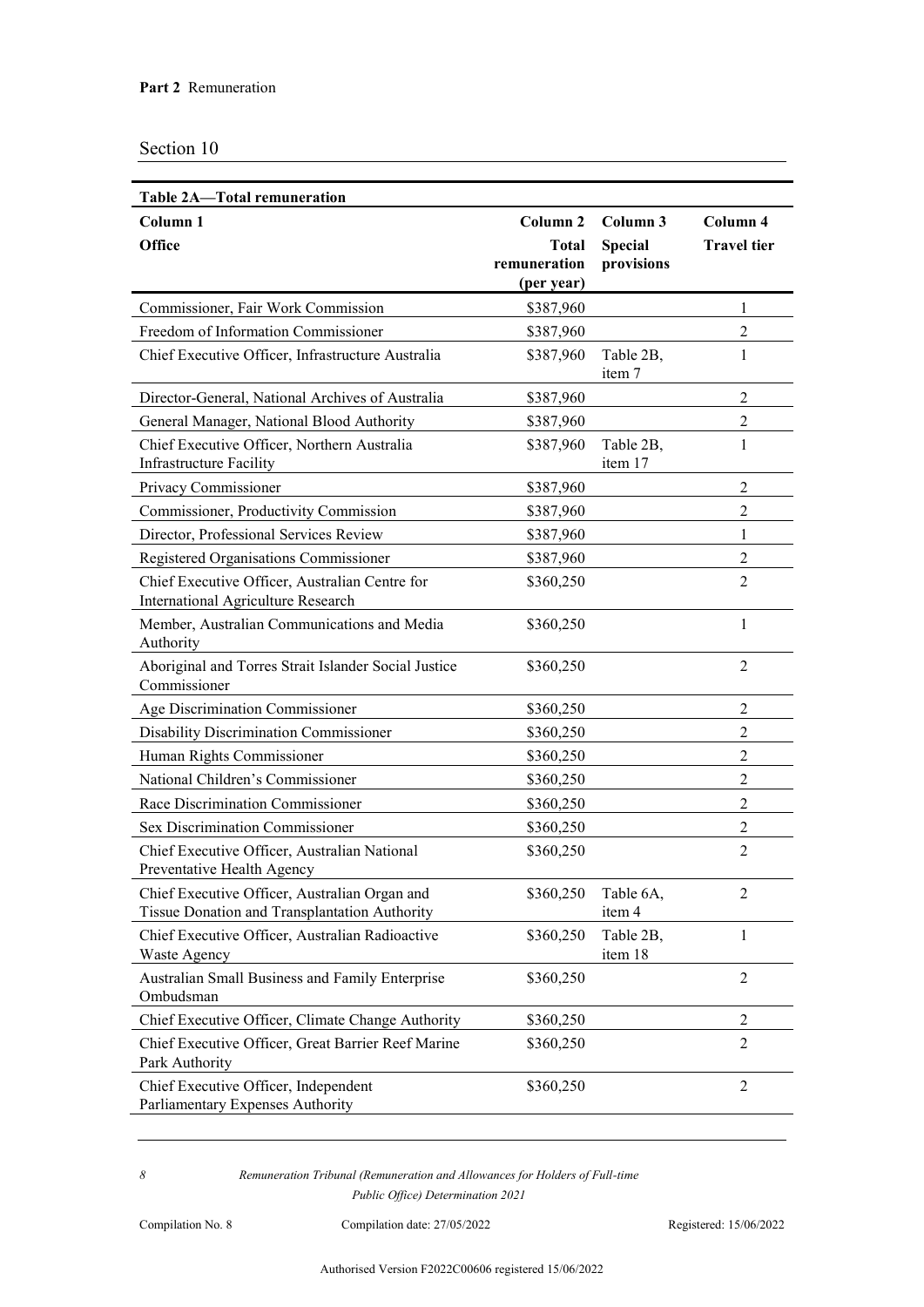| Table 2A-Total remuneration                                                                    |                            |                      |                    |
|------------------------------------------------------------------------------------------------|----------------------------|----------------------|--------------------|
| Column <sub>1</sub>                                                                            | Column <sub>2</sub>        | Column 3             | Column 4           |
| <b>Office</b>                                                                                  | <b>Total</b>               | <b>Special</b>       | <b>Travel</b> tier |
|                                                                                                | remuneration<br>(per year) | provisions           |                    |
| Commissioner, Fair Work Commission                                                             | \$387,960                  |                      | 1                  |
| Freedom of Information Commissioner                                                            | \$387,960                  |                      | $\overline{2}$     |
| Chief Executive Officer, Infrastructure Australia                                              | \$387,960                  | Table 2B,<br>item 7  | 1                  |
| Director-General, National Archives of Australia                                               | \$387,960                  |                      | $\overline{2}$     |
| General Manager, National Blood Authority                                                      | \$387,960                  |                      | $\overline{2}$     |
| Chief Executive Officer, Northern Australia<br><b>Infrastructure Facility</b>                  | \$387,960                  | Table 2B,<br>item 17 | 1                  |
| Privacy Commissioner                                                                           | \$387,960                  |                      | 2                  |
| Commissioner, Productivity Commission                                                          | \$387,960                  |                      | $\overline{2}$     |
| Director, Professional Services Review                                                         | \$387,960                  |                      | 1                  |
| Registered Organisations Commissioner                                                          | \$387,960                  |                      | $\overline{2}$     |
| Chief Executive Officer, Australian Centre for<br><b>International Agriculture Research</b>    | \$360,250                  |                      | $\overline{2}$     |
| Member, Australian Communications and Media<br>Authority                                       | \$360,250                  |                      | 1                  |
| Aboriginal and Torres Strait Islander Social Justice<br>Commissioner                           | \$360,250                  |                      | $\overline{2}$     |
| Age Discrimination Commissioner                                                                | \$360,250                  |                      | $\overline{2}$     |
| Disability Discrimination Commissioner                                                         | \$360,250                  |                      | $\overline{2}$     |
| Human Rights Commissioner                                                                      | \$360,250                  |                      | $\overline{2}$     |
| National Children's Commissioner                                                               | \$360,250                  |                      | $\overline{2}$     |
| Race Discrimination Commissioner                                                               | \$360,250                  |                      | $\overline{2}$     |
| <b>Sex Discrimination Commissioner</b>                                                         | \$360,250                  |                      | $\overline{2}$     |
| Chief Executive Officer, Australian National<br>Preventative Health Agency                     | \$360,250                  |                      | 2                  |
| Chief Executive Officer, Australian Organ and<br>Tissue Donation and Transplantation Authority | \$360,250                  | Table 6A,<br>item 4  | $\overline{2}$     |
| Chief Executive Officer, Australian Radioactive<br>Waste Agency                                | \$360,250                  | Table 2B,<br>item 18 | $\mathbf{1}$       |
| Australian Small Business and Family Enterprise<br>Ombudsman                                   | \$360,250                  |                      | $\overline{2}$     |
| Chief Executive Officer, Climate Change Authority                                              | \$360,250                  |                      | $\overline{2}$     |
| Chief Executive Officer, Great Barrier Reef Marine<br>Park Authority                           | \$360,250                  |                      | 2                  |
| Chief Executive Officer, Independent<br>Parliamentary Expenses Authority                       | \$360,250                  |                      | $\overline{2}$     |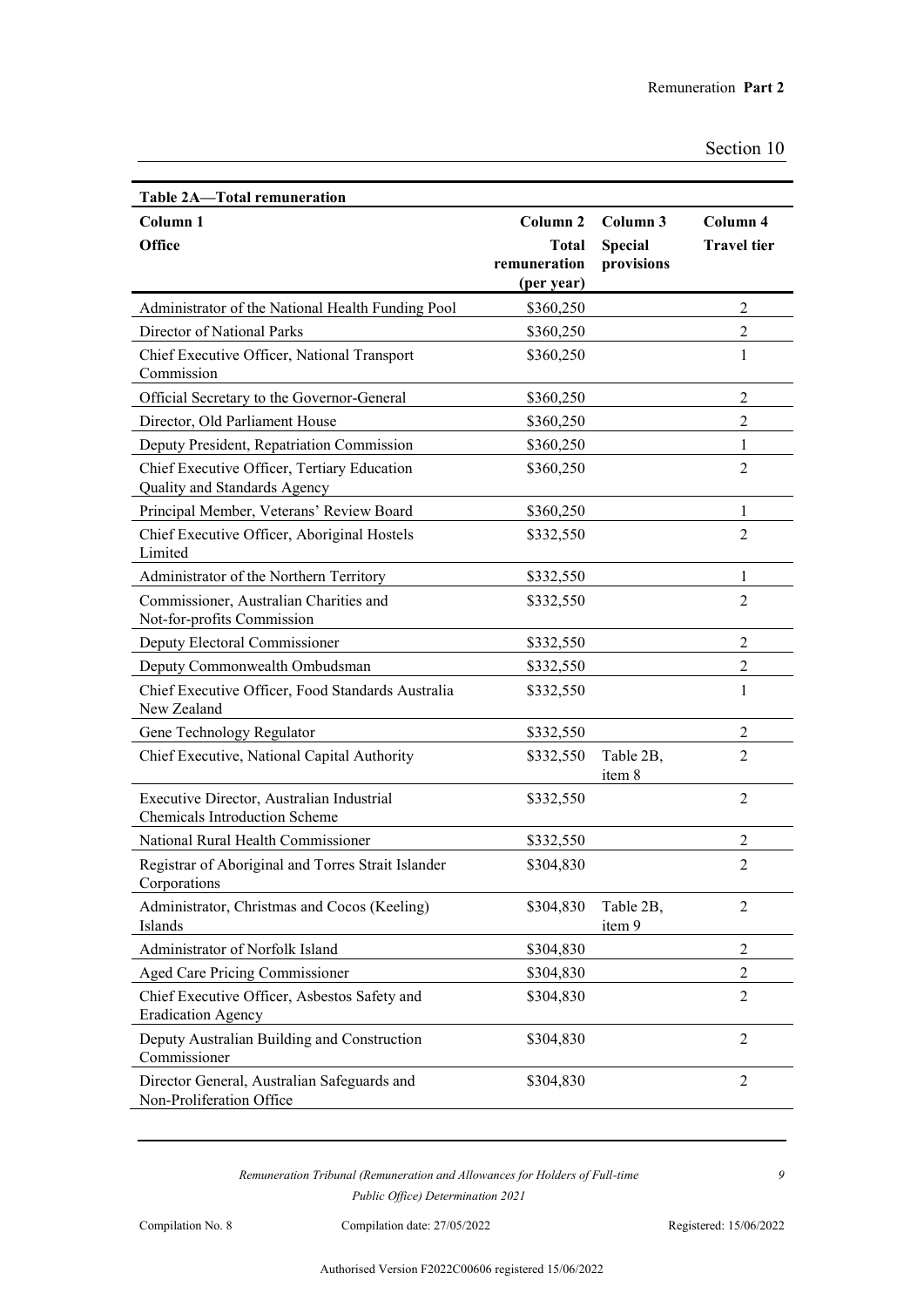| <b>Table 2A-Total remuneration</b>                                                |                     |                     |                    |
|-----------------------------------------------------------------------------------|---------------------|---------------------|--------------------|
| Column 1                                                                          | Column <sub>2</sub> | Column 3            | Column 4           |
| <b>Office</b>                                                                     | <b>Total</b>        | <b>Special</b>      | <b>Travel tier</b> |
|                                                                                   | remuneration        | provisions          |                    |
|                                                                                   | (per year)          |                     | $\overline{2}$     |
| Administrator of the National Health Funding Pool<br>Director of National Parks   | \$360,250           |                     | 2                  |
|                                                                                   | \$360,250           |                     |                    |
| Chief Executive Officer, National Transport<br>Commission                         | \$360,250           |                     | $\mathbf{1}$       |
| Official Secretary to the Governor-General                                        | \$360,250           |                     | $\overline{2}$     |
| Director, Old Parliament House                                                    | \$360,250           |                     | $\overline{2}$     |
| Deputy President, Repatriation Commission                                         | \$360,250           |                     | 1                  |
| Chief Executive Officer, Tertiary Education<br>Quality and Standards Agency       | \$360,250           |                     | $\overline{2}$     |
| Principal Member, Veterans' Review Board                                          | \$360,250           |                     | 1                  |
| Chief Executive Officer, Aboriginal Hostels<br>Limited                            | \$332,550           |                     | $\overline{2}$     |
| Administrator of the Northern Territory                                           | \$332,550           |                     | $\mathbf{1}$       |
| Commissioner, Australian Charities and<br>Not-for-profits Commission              | \$332,550           |                     | $\overline{2}$     |
| Deputy Electoral Commissioner                                                     | \$332,550           |                     | $\overline{2}$     |
| Deputy Commonwealth Ombudsman                                                     | \$332,550           |                     | $\overline{2}$     |
| Chief Executive Officer, Food Standards Australia<br>New Zealand                  | \$332,550           |                     | $\mathbf{1}$       |
| Gene Technology Regulator                                                         | \$332,550           |                     | 2                  |
| Chief Executive, National Capital Authority                                       | \$332,550           | Table 2B,<br>item 8 | $\overline{2}$     |
| Executive Director, Australian Industrial<br><b>Chemicals Introduction Scheme</b> | \$332,550           |                     | 2                  |
| National Rural Health Commissioner                                                | \$332,550           |                     | $\overline{2}$     |
| Registrar of Aboriginal and Torres Strait Islander<br>Corporations                | \$304,830           |                     | $\overline{2}$     |
| Administrator, Christmas and Cocos (Keeling)<br>Islands                           | \$304,830           | Table 2B,<br>item 9 | $\overline{2}$     |
| Administrator of Norfolk Island                                                   | \$304,830           |                     | $\overline{2}$     |
| Aged Care Pricing Commissioner                                                    | \$304,830           |                     | $\overline{2}$     |
| Chief Executive Officer, Asbestos Safety and<br><b>Eradication Agency</b>         | \$304,830           |                     | $\overline{2}$     |
| Deputy Australian Building and Construction<br>Commissioner                       | \$304,830           |                     | 2                  |
| Director General, Australian Safeguards and<br>Non-Proliferation Office           | \$304,830           |                     | $\overline{2}$     |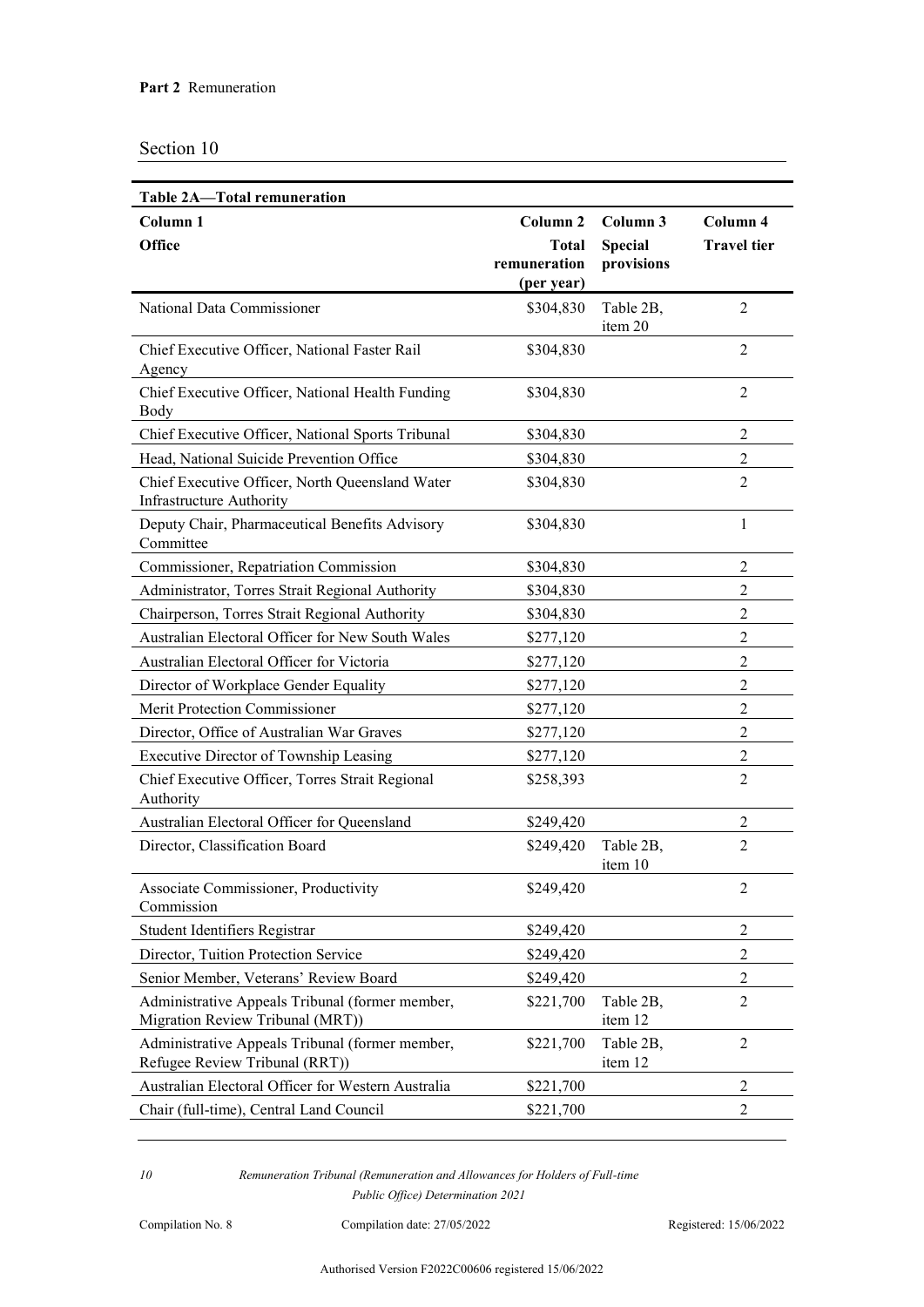| Table 2A-Total remuneration                                                         |                     |                      |                    |
|-------------------------------------------------------------------------------------|---------------------|----------------------|--------------------|
| Column <sub>1</sub>                                                                 | Column <sub>2</sub> | Column 3             | Column 4           |
| <b>Office</b>                                                                       | <b>Total</b>        | <b>Special</b>       | <b>Travel</b> tier |
|                                                                                     | remuneration        | provisions           |                    |
|                                                                                     | (per year)          |                      |                    |
| National Data Commissioner                                                          | \$304,830           | Table 2B,<br>item 20 | 2                  |
| Chief Executive Officer, National Faster Rail<br>Agency                             | \$304,830           |                      | $\overline{2}$     |
| Chief Executive Officer, National Health Funding<br>Body                            | \$304,830           |                      | 2                  |
| Chief Executive Officer, National Sports Tribunal                                   | \$304,830           |                      | $\overline{2}$     |
| Head, National Suicide Prevention Office                                            | \$304,830           |                      | $\overline{2}$     |
| Chief Executive Officer, North Queensland Water<br><b>Infrastructure Authority</b>  | \$304,830           |                      | $\overline{2}$     |
| Deputy Chair, Pharmaceutical Benefits Advisory<br>Committee                         | \$304,830           |                      | 1                  |
| Commissioner, Repatriation Commission                                               | \$304,830           |                      | $\overline{2}$     |
| Administrator, Torres Strait Regional Authority                                     | \$304,830           |                      | $\overline{2}$     |
| Chairperson, Torres Strait Regional Authority                                       | \$304,830           |                      | $\overline{2}$     |
| Australian Electoral Officer for New South Wales                                    | \$277,120           |                      | $\overline{2}$     |
| Australian Electoral Officer for Victoria                                           | \$277,120           |                      | $\overline{2}$     |
| Director of Workplace Gender Equality                                               | \$277,120           |                      | $\overline{2}$     |
| Merit Protection Commissioner                                                       | \$277,120           |                      | $\overline{2}$     |
| Director, Office of Australian War Graves                                           | \$277,120           |                      | $\overline{2}$     |
| Executive Director of Township Leasing                                              | \$277,120           |                      | 2                  |
| Chief Executive Officer, Torres Strait Regional<br>Authority                        | \$258,393           |                      | $\overline{2}$     |
| Australian Electoral Officer for Queensland                                         | \$249,420           |                      | $\overline{2}$     |
| Director, Classification Board                                                      | \$249,420           | Table 2B,<br>item 10 | $\overline{2}$     |
| Associate Commissioner, Productivity<br>Commission                                  | \$249,420           |                      | $\overline{2}$     |
| Student Identifiers Registrar                                                       | \$249,420           |                      | $\overline{2}$     |
| Director, Tuition Protection Service                                                | \$249,420           |                      | $\overline{2}$     |
| Senior Member, Veterans' Review Board                                               | \$249,420           |                      | $\overline{2}$     |
| Administrative Appeals Tribunal (former member,<br>Migration Review Tribunal (MRT)) | \$221,700           | Table 2B,<br>item 12 | 2                  |
| Administrative Appeals Tribunal (former member,<br>Refugee Review Tribunal (RRT))   | \$221,700           | Table 2B,<br>item 12 | 2                  |
| Australian Electoral Officer for Western Australia                                  | \$221,700           |                      | 2                  |
| Chair (full-time), Central Land Council                                             | \$221,700           |                      | 2                  |
|                                                                                     |                     |                      |                    |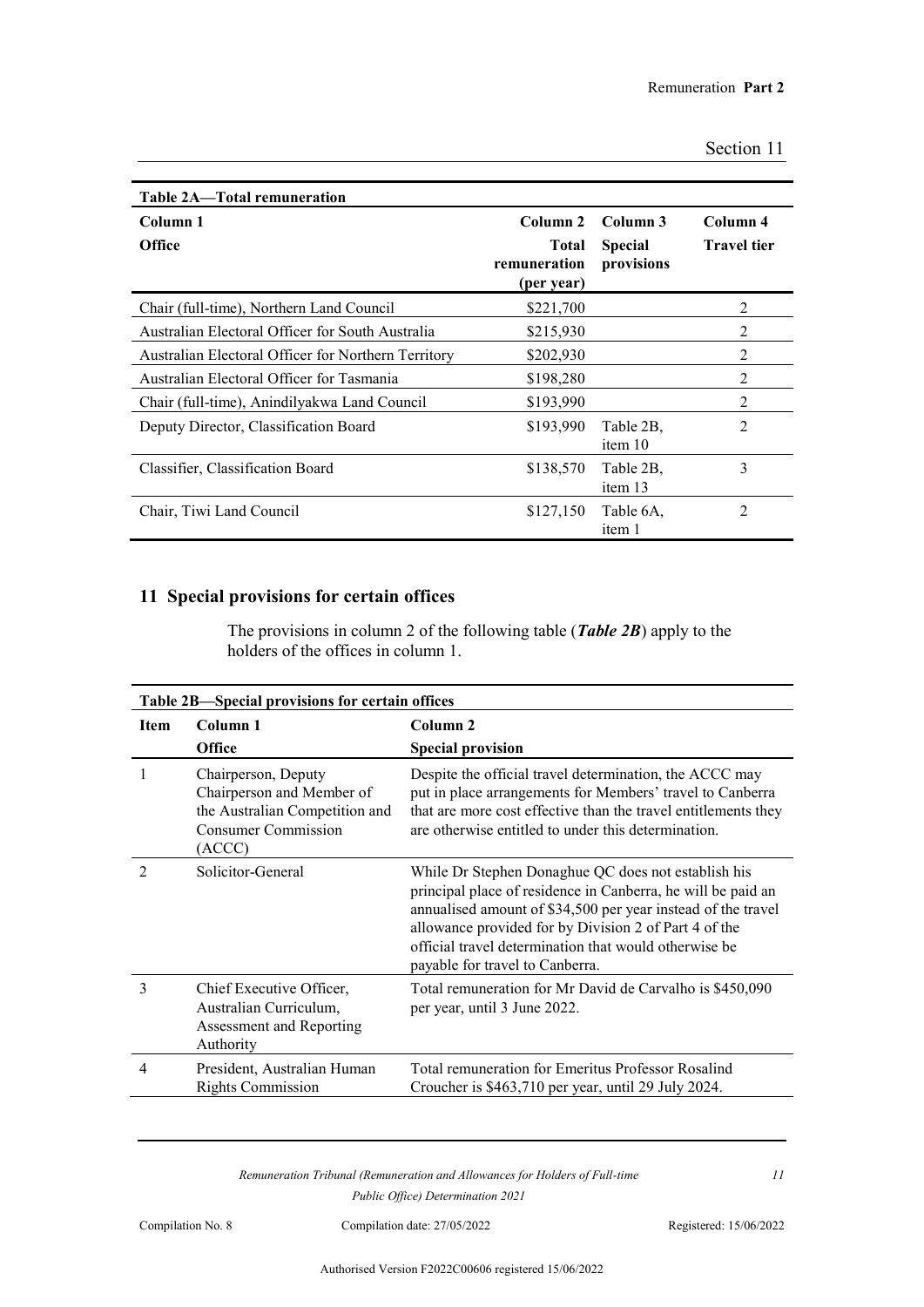| Table 2A-Total remuneration                         |                                            |                              |                    |
|-----------------------------------------------------|--------------------------------------------|------------------------------|--------------------|
| Column 1                                            | Column 2                                   | Column 3                     | Column 4           |
| <b>Office</b>                                       | <b>Total</b><br>remuneration<br>(per year) | <b>Special</b><br>provisions | <b>Travel tier</b> |
| Chair (full-time), Northern Land Council            | \$221,700                                  |                              | $\overline{2}$     |
| Australian Electoral Officer for South Australia    | \$215,930                                  |                              | 2                  |
| Australian Electoral Officer for Northern Territory | \$202,930                                  |                              | $\overline{2}$     |
| Australian Electoral Officer for Tasmania           | \$198,280                                  |                              | 2                  |
| Chair (full-time), Anindilyakwa Land Council        | \$193,990                                  |                              | $\overline{2}$     |
| Deputy Director, Classification Board               | \$193,990                                  | Table 2B.<br>item 10         | 2                  |
| Classifier, Classification Board                    | \$138,570                                  | Table 2B.<br>item 13         | 3                  |
| Chair, Tiwi Land Council                            | \$127,150                                  | Table 6A.<br>item 1          | $\overline{2}$     |

## **11 Special provisions for certain offices**

The provisions in column 2 of the following table (*Table 2B*) apply to the holders of the offices in column 1.

| Table 2B—Special provisions for certain offices |                                                                                                                            |                                                                                                                                                                                                                                                                                                                                          |  |
|-------------------------------------------------|----------------------------------------------------------------------------------------------------------------------------|------------------------------------------------------------------------------------------------------------------------------------------------------------------------------------------------------------------------------------------------------------------------------------------------------------------------------------------|--|
| <b>Item</b>                                     | Column 1<br><b>Office</b>                                                                                                  | Column <sub>2</sub><br><b>Special provision</b>                                                                                                                                                                                                                                                                                          |  |
|                                                 | Chairperson, Deputy<br>Chairperson and Member of<br>the Australian Competition and<br><b>Consumer Commission</b><br>(ACCC) | Despite the official travel determination, the ACCC may<br>put in place arrangements for Members' travel to Canberra<br>that are more cost effective than the travel entitlements they<br>are otherwise entitled to under this determination.                                                                                            |  |
| $\mathfrak{D}$                                  | Solicitor-General                                                                                                          | While Dr Stephen Donaghue QC does not establish his<br>principal place of residence in Canberra, he will be paid an<br>annualised amount of \$34,500 per year instead of the travel<br>allowance provided for by Division 2 of Part 4 of the<br>official travel determination that would otherwise be<br>payable for travel to Canberra. |  |
| 3                                               | Chief Executive Officer,<br>Australian Curriculum,<br>Assessment and Reporting<br>Authority                                | Total remuneration for Mr David de Carvalho is \$450,090<br>per year, until 3 June 2022.                                                                                                                                                                                                                                                 |  |
| 4                                               | President, Australian Human<br><b>Rights Commission</b>                                                                    | Total remuneration for Emeritus Professor Rosalind<br>Croucher is \$463,710 per year, until 29 July 2024.                                                                                                                                                                                                                                |  |

*Remuneration Tribunal (Remuneration and Allowances for Holders of Full-time Public Office) Determination 2021*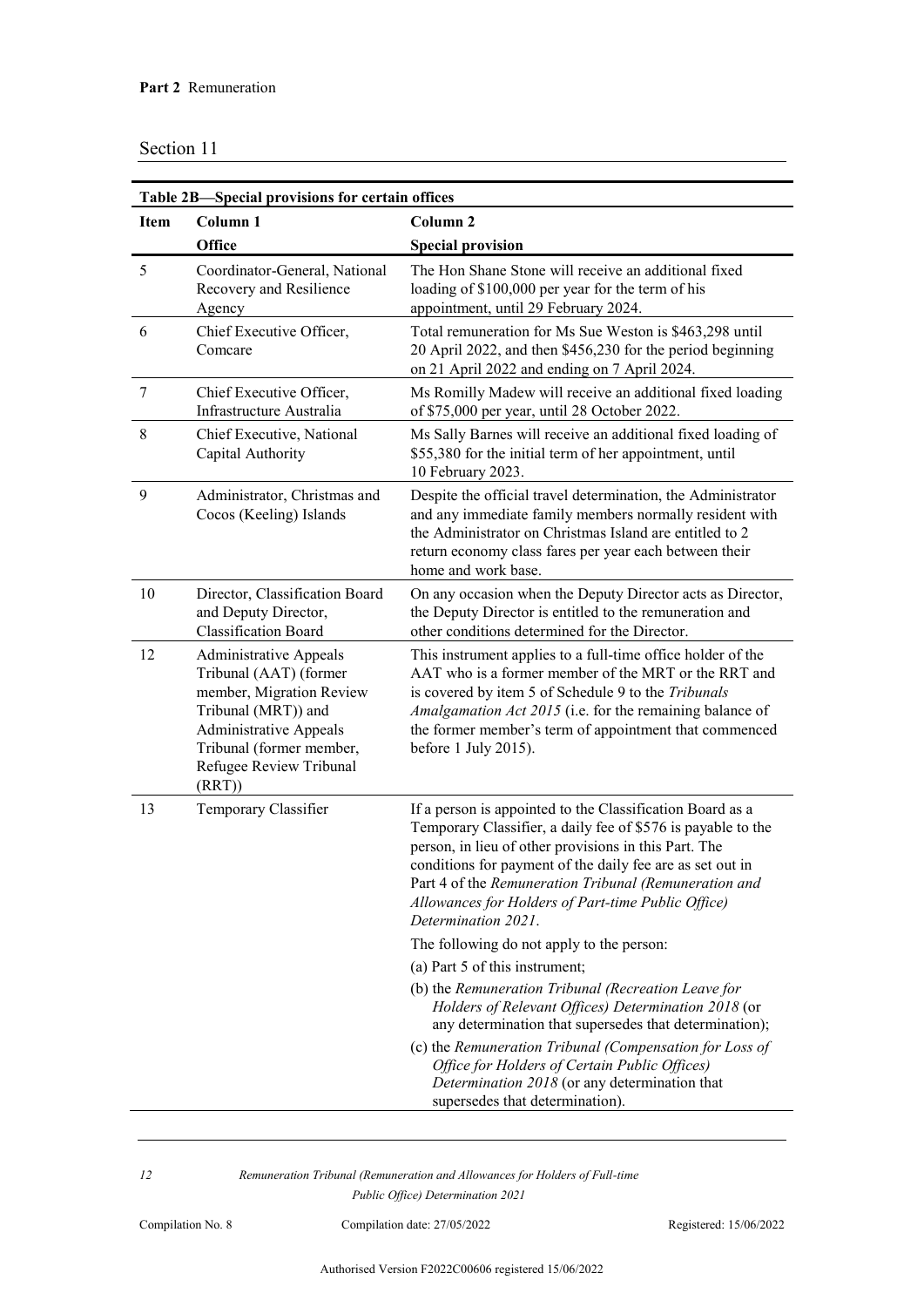| Table 2B-Special provisions for certain offices |                                                                                                                                                                                                             |                                                                                                                                                                                                                                                                                                                                                                                                                                                                                                                                                                                                                                                                                                                                                          |  |
|-------------------------------------------------|-------------------------------------------------------------------------------------------------------------------------------------------------------------------------------------------------------------|----------------------------------------------------------------------------------------------------------------------------------------------------------------------------------------------------------------------------------------------------------------------------------------------------------------------------------------------------------------------------------------------------------------------------------------------------------------------------------------------------------------------------------------------------------------------------------------------------------------------------------------------------------------------------------------------------------------------------------------------------------|--|
| <b>Item</b>                                     | Column 1                                                                                                                                                                                                    | Column 2                                                                                                                                                                                                                                                                                                                                                                                                                                                                                                                                                                                                                                                                                                                                                 |  |
|                                                 | Office                                                                                                                                                                                                      | <b>Special provision</b>                                                                                                                                                                                                                                                                                                                                                                                                                                                                                                                                                                                                                                                                                                                                 |  |
| 5                                               | Coordinator-General, National<br>Recovery and Resilience<br>Agency                                                                                                                                          | The Hon Shane Stone will receive an additional fixed<br>loading of \$100,000 per year for the term of his<br>appointment, until 29 February 2024.                                                                                                                                                                                                                                                                                                                                                                                                                                                                                                                                                                                                        |  |
| 6                                               | Chief Executive Officer,<br>Comcare                                                                                                                                                                         | Total remuneration for Ms Sue Weston is \$463,298 until<br>20 April 2022, and then \$456,230 for the period beginning<br>on 21 April 2022 and ending on 7 April 2024.                                                                                                                                                                                                                                                                                                                                                                                                                                                                                                                                                                                    |  |
| 7                                               | Chief Executive Officer,<br>Infrastructure Australia                                                                                                                                                        | Ms Romilly Madew will receive an additional fixed loading<br>of \$75,000 per year, until 28 October 2022.                                                                                                                                                                                                                                                                                                                                                                                                                                                                                                                                                                                                                                                |  |
| 8                                               | Chief Executive, National<br>Capital Authority                                                                                                                                                              | Ms Sally Barnes will receive an additional fixed loading of<br>\$55,380 for the initial term of her appointment, until<br>10 February 2023.                                                                                                                                                                                                                                                                                                                                                                                                                                                                                                                                                                                                              |  |
| 9                                               | Administrator, Christmas and<br>Cocos (Keeling) Islands                                                                                                                                                     | Despite the official travel determination, the Administrator<br>and any immediate family members normally resident with<br>the Administrator on Christmas Island are entitled to 2<br>return economy class fares per year each between their<br>home and work base.                                                                                                                                                                                                                                                                                                                                                                                                                                                                                      |  |
| 10                                              | Director, Classification Board<br>and Deputy Director,<br><b>Classification Board</b>                                                                                                                       | On any occasion when the Deputy Director acts as Director,<br>the Deputy Director is entitled to the remuneration and<br>other conditions determined for the Director.                                                                                                                                                                                                                                                                                                                                                                                                                                                                                                                                                                                   |  |
| 12                                              | <b>Administrative Appeals</b><br>Tribunal (AAT) (former<br>member, Migration Review<br>Tribunal (MRT)) and<br><b>Administrative Appeals</b><br>Tribunal (former member,<br>Refugee Review Tribunal<br>(RRT) | This instrument applies to a full-time office holder of the<br>AAT who is a former member of the MRT or the RRT and<br>is covered by item 5 of Schedule 9 to the Tribunals<br>Amalgamation Act 2015 (i.e. for the remaining balance of<br>the former member's term of appointment that commenced<br>before 1 July 2015).                                                                                                                                                                                                                                                                                                                                                                                                                                 |  |
| 13                                              | Temporary Classifier                                                                                                                                                                                        | If a person is appointed to the Classification Board as a<br>Temporary Classifier, a daily fee of \$576 is payable to the<br>person, in lieu of other provisions in this Part. The<br>conditions for payment of the daily fee are as set out in<br>Part 4 of the Remuneration Tribunal (Remuneration and<br>Allowances for Holders of Part-time Public Office)<br>Determination 2021.<br>The following do not apply to the person:<br>(a) Part 5 of this instrument;<br>(b) the Remuneration Tribunal (Recreation Leave for<br>Holders of Relevant Offices) Determination 2018 (or<br>any determination that supersedes that determination);<br>(c) the Remuneration Tribunal (Compensation for Loss of<br>Office for Holders of Certain Public Offices) |  |
|                                                 |                                                                                                                                                                                                             | Determination 2018 (or any determination that<br>supersedes that determination).                                                                                                                                                                                                                                                                                                                                                                                                                                                                                                                                                                                                                                                                         |  |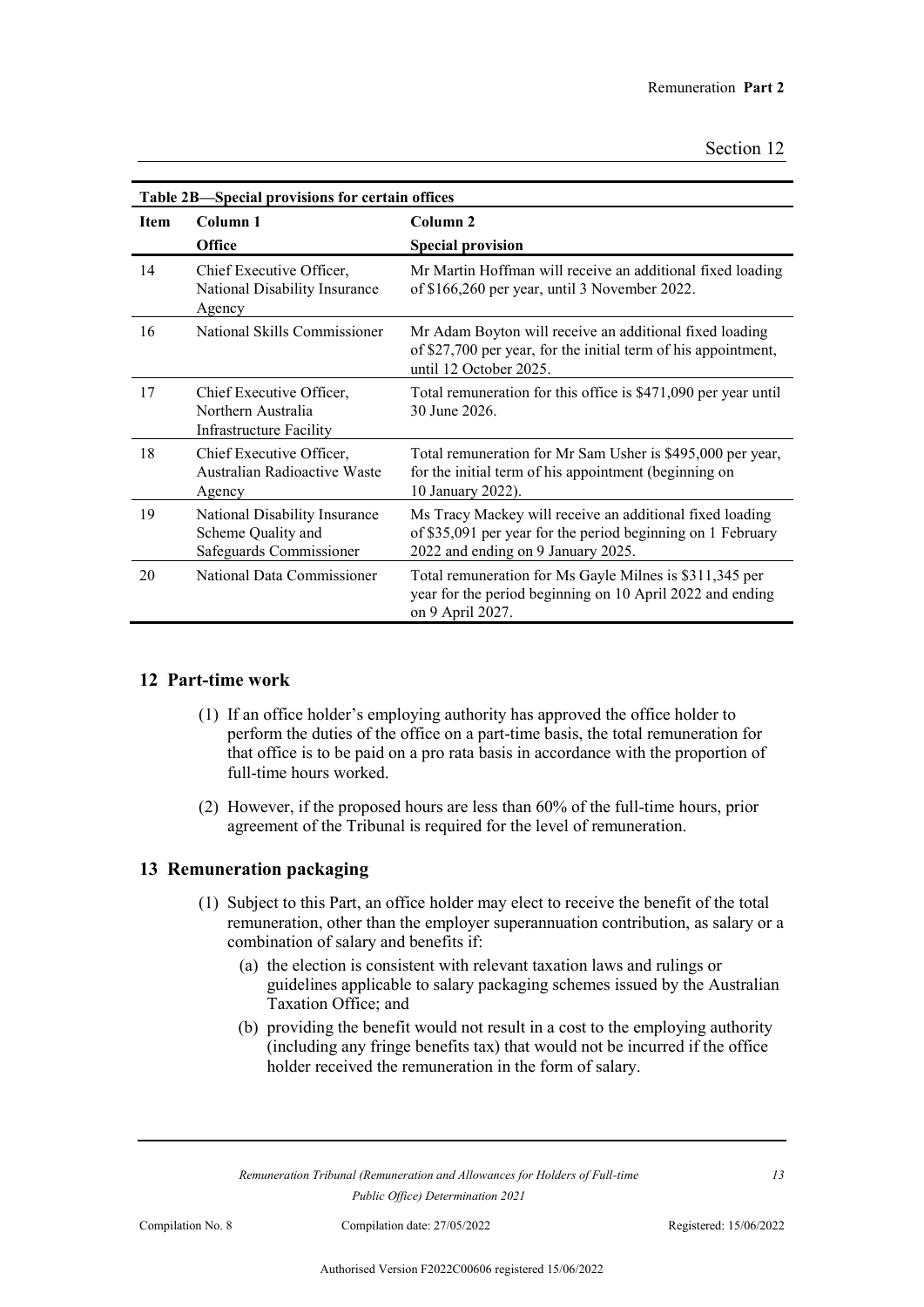| Table 2B-Special provisions for certain offices |                                                                                  |                                                                                                                                                               |  |
|-------------------------------------------------|----------------------------------------------------------------------------------|---------------------------------------------------------------------------------------------------------------------------------------------------------------|--|
| <b>Item</b>                                     | Column 1                                                                         | Column <sub>2</sub>                                                                                                                                           |  |
|                                                 | <b>Office</b>                                                                    | <b>Special provision</b>                                                                                                                                      |  |
| 14                                              | Chief Executive Officer,<br>National Disability Insurance<br>Agency              | Mr Martin Hoffman will receive an additional fixed loading<br>of \$166,260 per year, until 3 November 2022.                                                   |  |
| 16                                              | National Skills Commissioner                                                     | Mr Adam Boyton will receive an additional fixed loading<br>of \$27,700 per year, for the initial term of his appointment,<br>until 12 October 2025.           |  |
| 17                                              | Chief Executive Officer,<br>Northern Australia<br><b>Infrastructure Facility</b> | Total remuneration for this office is \$471,090 per year until<br>30 June 2026.                                                                               |  |
| 18                                              | Chief Executive Officer,<br>Australian Radioactive Waste<br>Agency               | Total remuneration for Mr Sam Usher is \$495,000 per year,<br>for the initial term of his appointment (beginning on<br>10 January 2022).                      |  |
| 19                                              | National Disability Insurance<br>Scheme Quality and<br>Safeguards Commissioner   | Ms Tracy Mackey will receive an additional fixed loading<br>of \$35,091 per year for the period beginning on 1 February<br>2022 and ending on 9 January 2025. |  |
| 20                                              | National Data Commissioner                                                       | Total remuneration for Ms Gayle Milnes is \$311,345 per<br>year for the period beginning on 10 April 2022 and ending<br>on 9 April 2027.                      |  |

### **12 Part-time work**

- (1) If an office holder's employing authority has approved the office holder to perform the duties of the office on a part-time basis, the total remuneration for that office is to be paid on a pro rata basis in accordance with the proportion of full-time hours worked.
- (2) However, if the proposed hours are less than 60% of the full-time hours, prior agreement of the Tribunal is required for the level of remuneration.

### **13 Remuneration packaging**

- (1) Subject to this Part, an office holder may elect to receive the benefit of the total remuneration, other than the employer superannuation contribution, as salary or a combination of salary and benefits if:
	- (a) the election is consistent with relevant taxation laws and rulings or guidelines applicable to salary packaging schemes issued by the Australian Taxation Office; and
	- (b) providing the benefit would not result in a cost to the employing authority (including any fringe benefits tax) that would not be incurred if the office holder received the remuneration in the form of salary.

*Remuneration Tribunal (Remuneration and Allowances for Holders of Full-time Public Office) Determination 2021*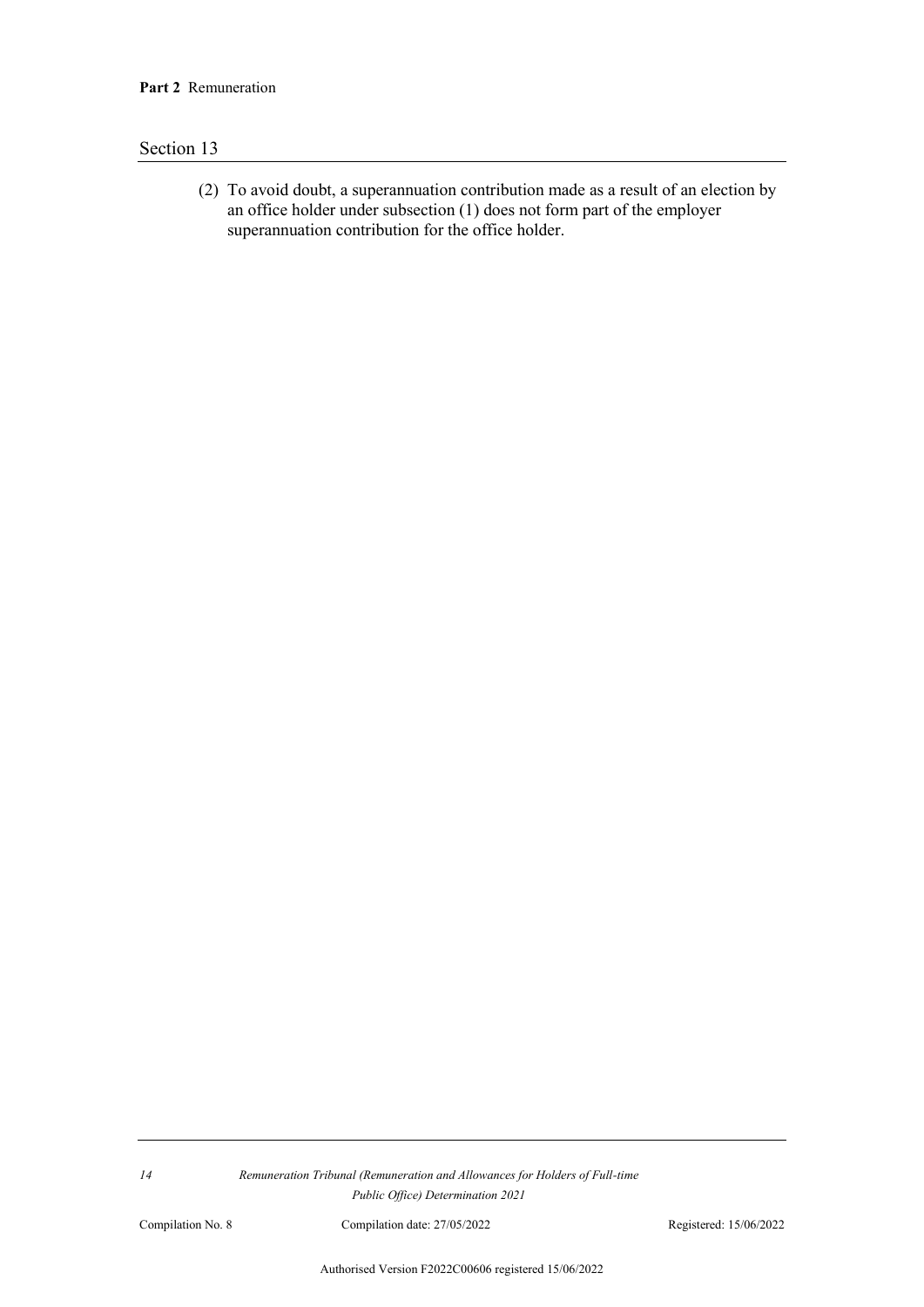(2) To avoid doubt, a superannuation contribution made as a result of an election by an office holder under subsection (1) does not form part of the employer superannuation contribution for the office holder.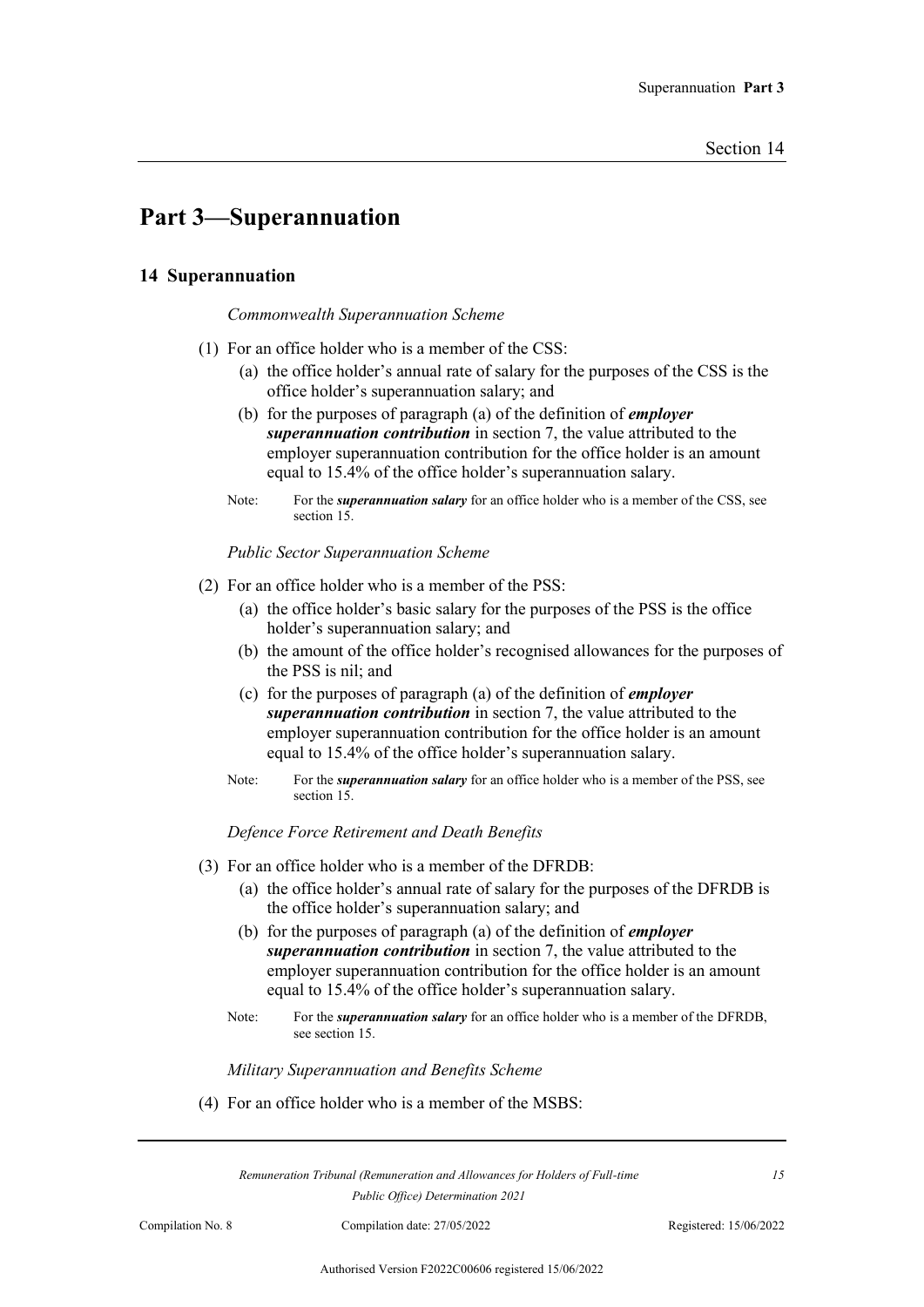## **Part 3—Superannuation**

### **14 Superannuation**

#### *Commonwealth Superannuation Scheme*

- (1) For an office holder who is a member of the CSS:
	- (a) the office holder's annual rate of salary for the purposes of the CSS is the office holder's superannuation salary; and
	- (b) for the purposes of paragraph (a) of the definition of *employer superannuation contribution* in section 7, the value attributed to the employer superannuation contribution for the office holder is an amount equal to 15.4% of the office holder's superannuation salary.
	- Note: For the *superannuation salary* for an office holder who is a member of the CSS, see section 15.

*Public Sector Superannuation Scheme*

- (2) For an office holder who is a member of the PSS:
	- (a) the office holder's basic salary for the purposes of the PSS is the office holder's superannuation salary; and
	- (b) the amount of the office holder's recognised allowances for the purposes of the PSS is nil; and
	- (c) for the purposes of paragraph (a) of the definition of *employer superannuation contribution* in section 7, the value attributed to the employer superannuation contribution for the office holder is an amount equal to 15.4% of the office holder's superannuation salary.
	- Note: For the *superannuation salary* for an office holder who is a member of the PSS, see section 15.

*Defence Force Retirement and Death Benefits*

- (3) For an office holder who is a member of the DFRDB:
	- (a) the office holder's annual rate of salary for the purposes of the DFRDB is the office holder's superannuation salary; and
	- (b) for the purposes of paragraph (a) of the definition of *employer superannuation contribution* in section 7, the value attributed to the employer superannuation contribution for the office holder is an amount equal to 15.4% of the office holder's superannuation salary.
	- Note: For the *superannuation salary* for an office holder who is a member of the DFRDB, see section 15.

*Military Superannuation and Benefits Scheme*

(4) For an office holder who is a member of the MSBS:

*Remuneration Tribunal (Remuneration and Allowances for Holders of Full-time Public Office) Determination 2021*

Compilation No. 8 Compilation date: 27/05/2022 Registered: 15/06/2022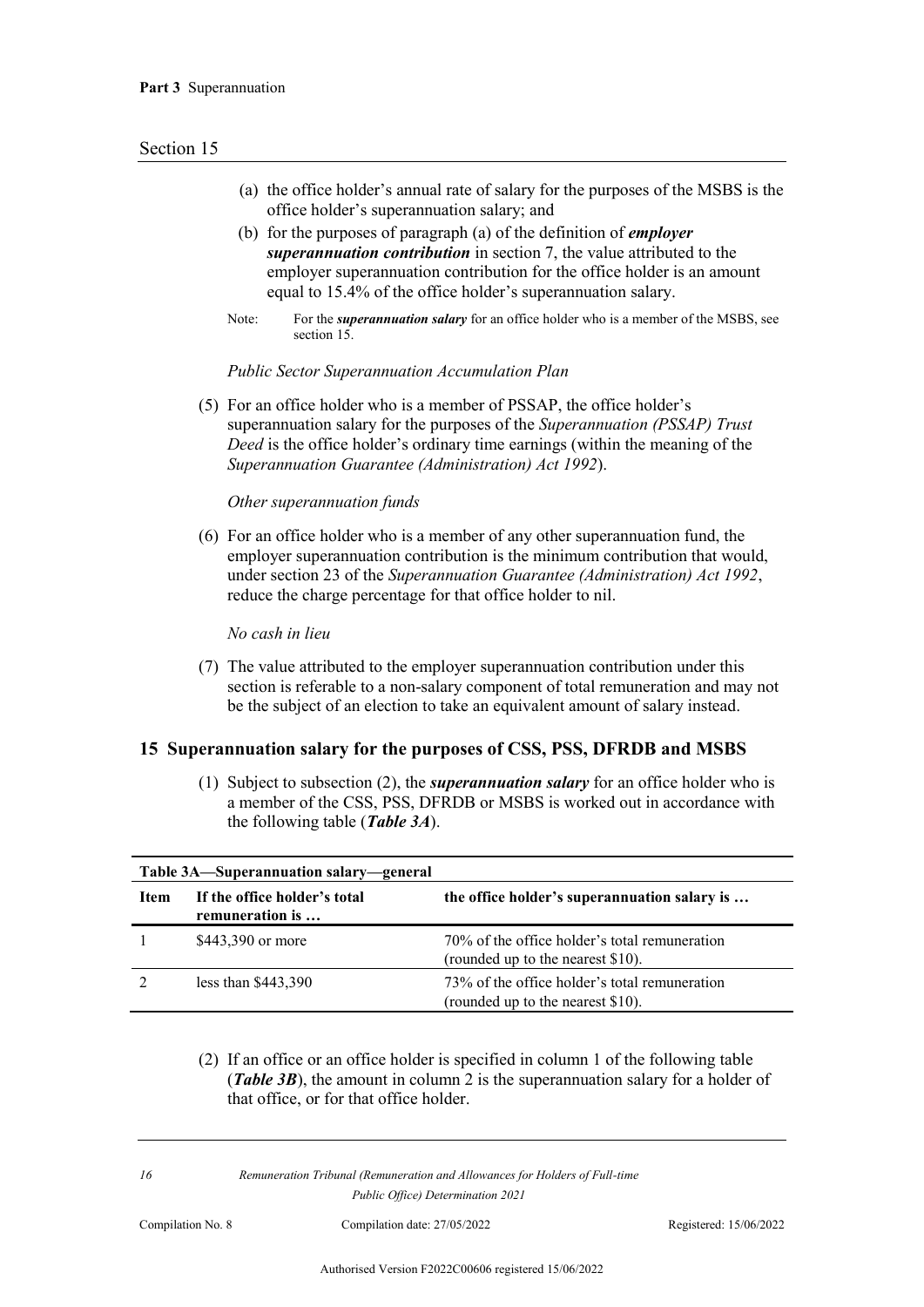- (a) the office holder's annual rate of salary for the purposes of the MSBS is the office holder's superannuation salary; and
- (b) for the purposes of paragraph (a) of the definition of *employer superannuation contribution* in section 7, the value attributed to the employer superannuation contribution for the office holder is an amount equal to 15.4% of the office holder's superannuation salary.
- Note: For the *superannuation salary* for an office holder who is a member of the MSBS, see section 15.

#### *Public Sector Superannuation Accumulation Plan*

(5) For an office holder who is a member of PSSAP, the office holder's superannuation salary for the purposes of the *Superannuation (PSSAP) Trust Deed* is the office holder's ordinary time earnings (within the meaning of the *Superannuation Guarantee (Administration) Act 1992*).

#### *Other superannuation funds*

(6) For an office holder who is a member of any other superannuation fund, the employer superannuation contribution is the minimum contribution that would, under section 23 of the *Superannuation Guarantee (Administration) Act 1992*, reduce the charge percentage for that office holder to nil.

*No cash in lieu*

(7) The value attributed to the employer superannuation contribution under this section is referable to a non-salary component of total remuneration and may not be the subject of an election to take an equivalent amount of salary instead.

#### **15 Superannuation salary for the purposes of CSS, PSS, DFRDB and MSBS**

(1) Subject to subsection (2), the *superannuation salary* for an office holder who is a member of the CSS, PSS, DFRDB or MSBS is worked out in accordance with the following table (*Table 3A*).

| Table 3A—Superannuation salary—general |                                                 |                                                                                    |  |
|----------------------------------------|-------------------------------------------------|------------------------------------------------------------------------------------|--|
| <b>Item</b>                            | If the office holder's total<br>remuneration is | the office holder's superannuation salary is                                       |  |
|                                        | \$443,390 or more                               | 70% of the office holder's total remuneration<br>(rounded up to the nearest \$10). |  |
|                                        | less than $$443,390$                            | 73% of the office holder's total remuneration<br>(rounded up to the nearest \$10). |  |

(2) If an office or an office holder is specified in column 1 of the following table (*Table 3B*), the amount in column 2 is the superannuation salary for a holder of that office, or for that office holder.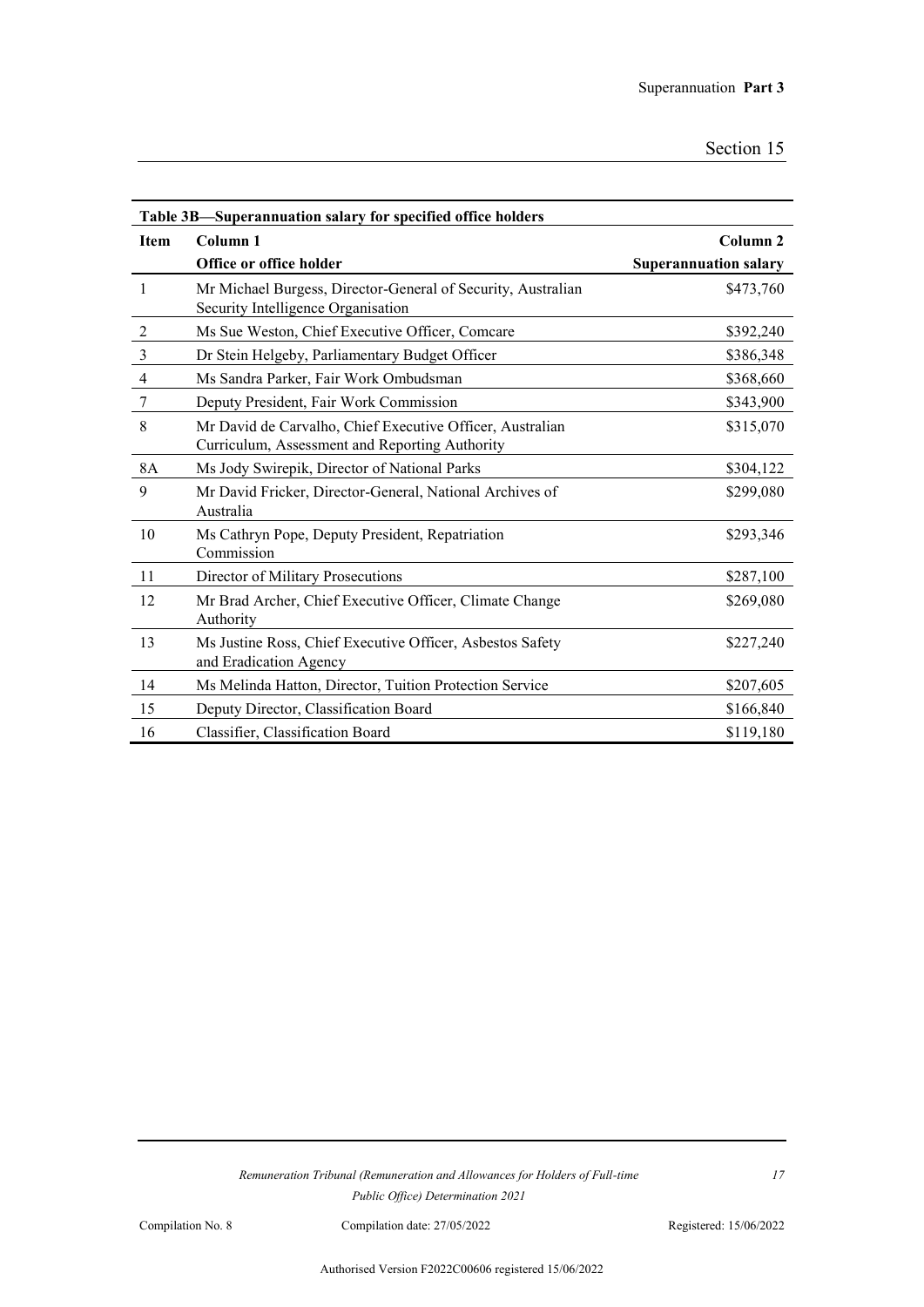| Table 3B—Superannuation salary for specified office holders |                                                                                                             |                              |  |
|-------------------------------------------------------------|-------------------------------------------------------------------------------------------------------------|------------------------------|--|
| <b>Item</b>                                                 | Column 1                                                                                                    | Column <sub>2</sub>          |  |
|                                                             | Office or office holder                                                                                     | <b>Superannuation salary</b> |  |
| 1                                                           | Mr Michael Burgess, Director-General of Security, Australian<br>Security Intelligence Organisation          | \$473,760                    |  |
| $\overline{2}$                                              | Ms Sue Weston, Chief Executive Officer, Comcare                                                             | \$392,240                    |  |
| 3                                                           | Dr Stein Helgeby, Parliamentary Budget Officer                                                              | \$386,348                    |  |
| $\overline{4}$                                              | Ms Sandra Parker, Fair Work Ombudsman                                                                       | \$368,660                    |  |
| 7                                                           | Deputy President, Fair Work Commission                                                                      | \$343,900                    |  |
| 8                                                           | Mr David de Carvalho, Chief Executive Officer, Australian<br>Curriculum, Assessment and Reporting Authority | \$315,070                    |  |
| 8A                                                          | Ms Jody Swirepik, Director of National Parks                                                                | \$304,122                    |  |
| 9                                                           | Mr David Fricker, Director-General, National Archives of<br>Australia                                       | \$299,080                    |  |
| 10                                                          | Ms Cathryn Pope, Deputy President, Repatriation<br>Commission                                               | \$293,346                    |  |
| 11                                                          | Director of Military Prosecutions                                                                           | \$287,100                    |  |
| 12                                                          | Mr Brad Archer, Chief Executive Officer, Climate Change<br>Authority                                        | \$269,080                    |  |
| 13                                                          | Ms Justine Ross, Chief Executive Officer, Asbestos Safety<br>and Eradication Agency                         | \$227,240                    |  |
| 14                                                          | Ms Melinda Hatton, Director, Tuition Protection Service                                                     | \$207,605                    |  |
| 15                                                          | Deputy Director, Classification Board                                                                       | \$166,840                    |  |
| 16                                                          | Classifier, Classification Board                                                                            | \$119,180                    |  |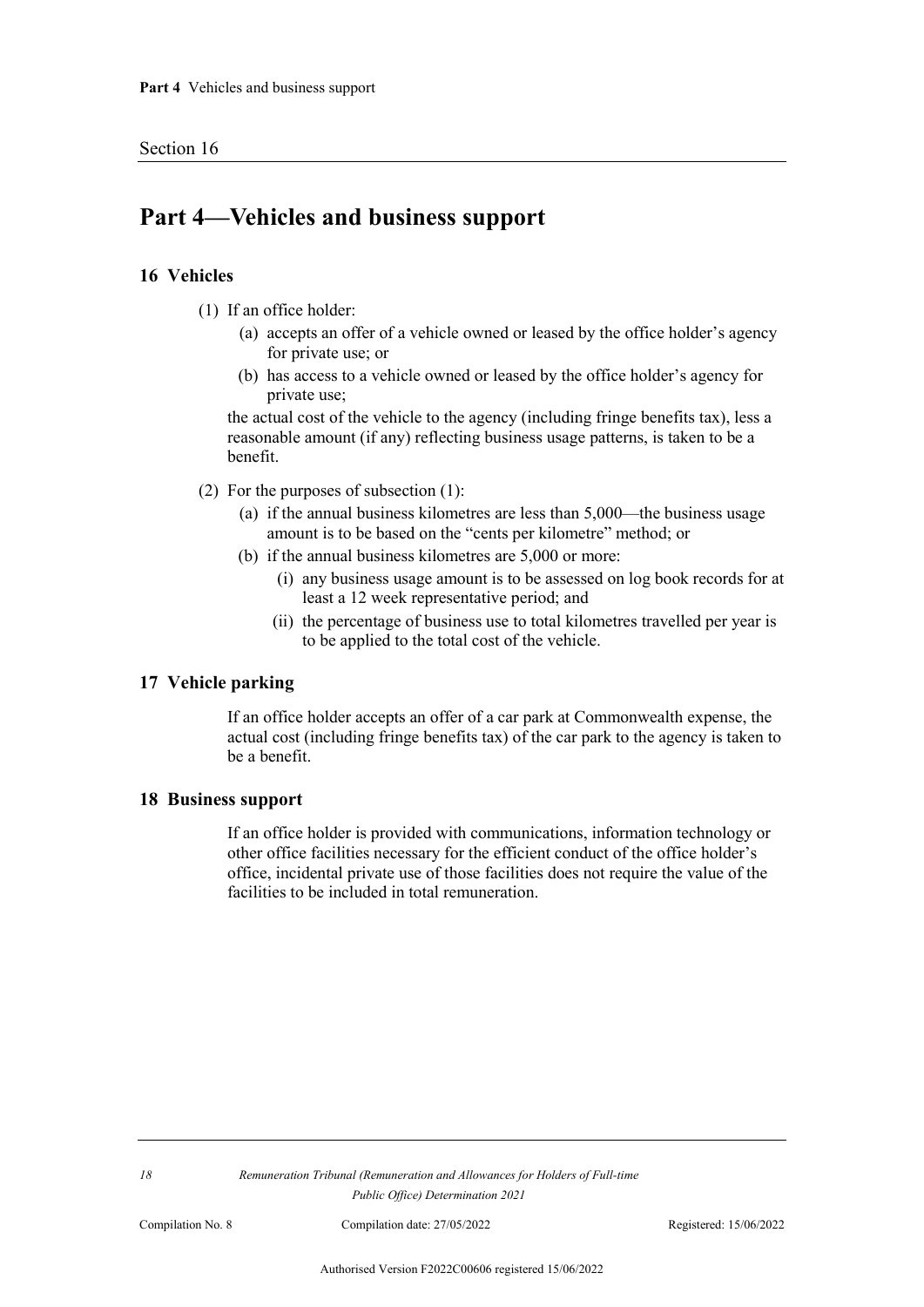## **Part 4—Vehicles and business support**

#### **16 Vehicles**

- (1) If an office holder:
	- (a) accepts an offer of a vehicle owned or leased by the office holder's agency for private use; or
	- (b) has access to a vehicle owned or leased by the office holder's agency for private use;

the actual cost of the vehicle to the agency (including fringe benefits tax), less a reasonable amount (if any) reflecting business usage patterns, is taken to be a benefit.

- (2) For the purposes of subsection (1):
	- (a) if the annual business kilometres are less than 5,000—the business usage amount is to be based on the "cents per kilometre" method; or
	- (b) if the annual business kilometres are 5,000 or more:
		- (i) any business usage amount is to be assessed on log book records for at least a 12 week representative period; and
		- (ii) the percentage of business use to total kilometres travelled per year is to be applied to the total cost of the vehicle.

#### **17 Vehicle parking**

If an office holder accepts an offer of a car park at Commonwealth expense, the actual cost (including fringe benefits tax) of the car park to the agency is taken to be a benefit.

#### **18 Business support**

If an office holder is provided with communications, information technology or other office facilities necessary for the efficient conduct of the office holder's office, incidental private use of those facilities does not require the value of the facilities to be included in total remuneration.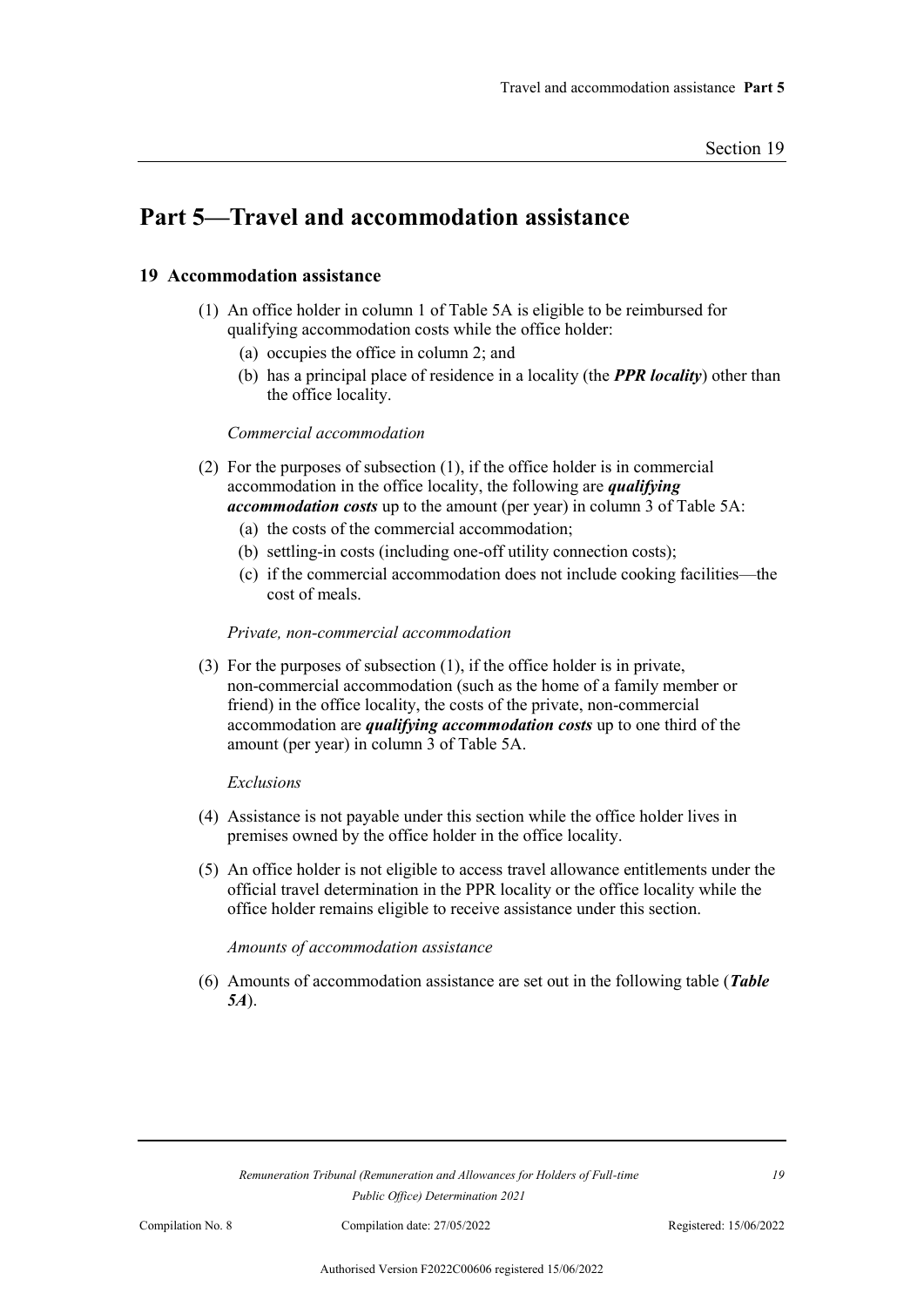## **Part 5—Travel and accommodation assistance**

### **19 Accommodation assistance**

- (1) An office holder in column 1 of Table 5A is eligible to be reimbursed for qualifying accommodation costs while the office holder:
	- (a) occupies the office in column 2; and
	- (b) has a principal place of residence in a locality (the *PPR locality*) other than the office locality.

#### *Commercial accommodation*

- (2) For the purposes of subsection (1), if the office holder is in commercial accommodation in the office locality, the following are *qualifying accommodation costs* up to the amount (per year) in column 3 of Table 5A:
	- (a) the costs of the commercial accommodation;
	- (b) settling-in costs (including one-off utility connection costs);
	- (c) if the commercial accommodation does not include cooking facilities—the cost of meals.

#### *Private, non-commercial accommodation*

(3) For the purposes of subsection (1), if the office holder is in private, non-commercial accommodation (such as the home of a family member or friend) in the office locality, the costs of the private, non-commercial accommodation are *qualifying accommodation costs* up to one third of the amount (per year) in column 3 of Table 5A.

#### *Exclusions*

- (4) Assistance is not payable under this section while the office holder lives in premises owned by the office holder in the office locality.
- (5) An office holder is not eligible to access travel allowance entitlements under the official travel determination in the PPR locality or the office locality while the office holder remains eligible to receive assistance under this section.

#### *Amounts of accommodation assistance*

(6) Amounts of accommodation assistance are set out in the following table (*Table 5A*).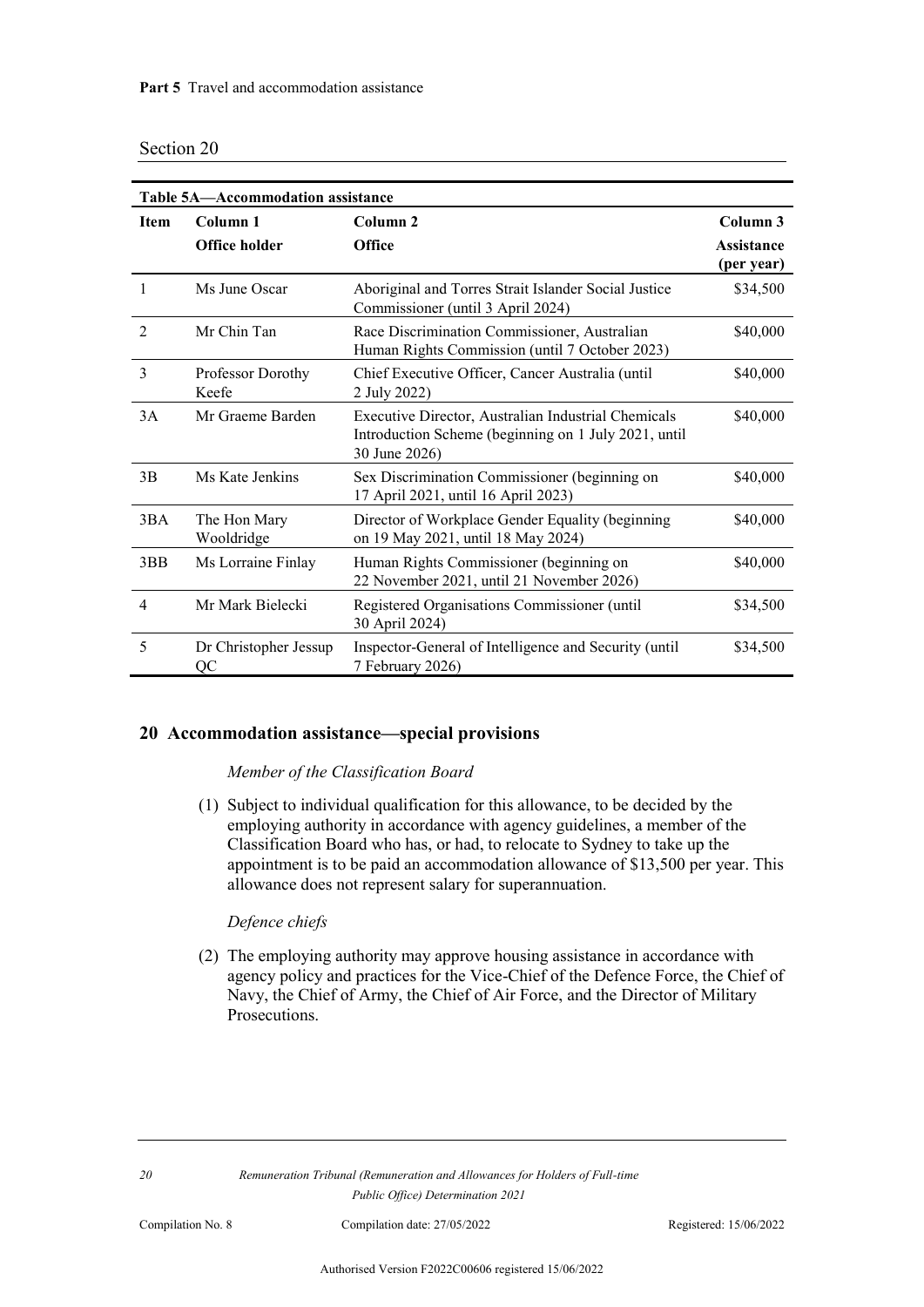| Section 20 |  |
|------------|--|
|            |  |

| Table 5A-Accommodation assistance |                                  |                                                                                                                              |                                             |
|-----------------------------------|----------------------------------|------------------------------------------------------------------------------------------------------------------------------|---------------------------------------------|
| <b>Item</b>                       | Column 1<br><b>Office holder</b> | Column <sub>2</sub><br>Office                                                                                                | Column 3<br><b>Assistance</b><br>(per year) |
| 1                                 | Ms June Oscar                    | Aboriginal and Torres Strait Islander Social Justice<br>Commissioner (until 3 April 2024)                                    | \$34,500                                    |
| $\overline{2}$                    | Mr Chin Tan                      | Race Discrimination Commissioner, Australian<br>Human Rights Commission (until 7 October 2023)                               | \$40,000                                    |
| 3                                 | Professor Dorothy<br>Keefe       | Chief Executive Officer, Cancer Australia (until<br>2 July 2022)                                                             | \$40,000                                    |
| 3A                                | Mr Graeme Barden                 | Executive Director, Australian Industrial Chemicals<br>Introduction Scheme (beginning on 1 July 2021, until<br>30 June 2026) | \$40,000                                    |
| 3B                                | Ms Kate Jenkins                  | Sex Discrimination Commissioner (beginning on<br>17 April 2021, until 16 April 2023)                                         | \$40,000                                    |
| 3BA                               | The Hon Mary<br>Wooldridge       | Director of Workplace Gender Equality (beginning<br>on 19 May 2021, until 18 May 2024)                                       | \$40,000                                    |
| 3BB                               | Ms Lorraine Finlay               | Human Rights Commissioner (beginning on<br>22 November 2021, until 21 November 2026)                                         | \$40,000                                    |
| $\overline{\mathcal{A}}$          | Mr Mark Bielecki                 | Registered Organisations Commissioner (until<br>30 April 2024)                                                               | \$34,500                                    |
| 5                                 | Dr Christopher Jessup<br>QC      | Inspector-General of Intelligence and Security (until<br>7 February 2026)                                                    | \$34,500                                    |

#### **20 Accommodation assistance—special provisions**

#### *Member of the Classification Board*

(1) Subject to individual qualification for this allowance, to be decided by the employing authority in accordance with agency guidelines, a member of the Classification Board who has, or had, to relocate to Sydney to take up the appointment is to be paid an accommodation allowance of \$13,500 per year. This allowance does not represent salary for superannuation.

#### *Defence chiefs*

(2) The employing authority may approve housing assistance in accordance with agency policy and practices for the Vice-Chief of the Defence Force, the Chief of Navy, the Chief of Army, the Chief of Air Force, and the Director of Military Prosecutions.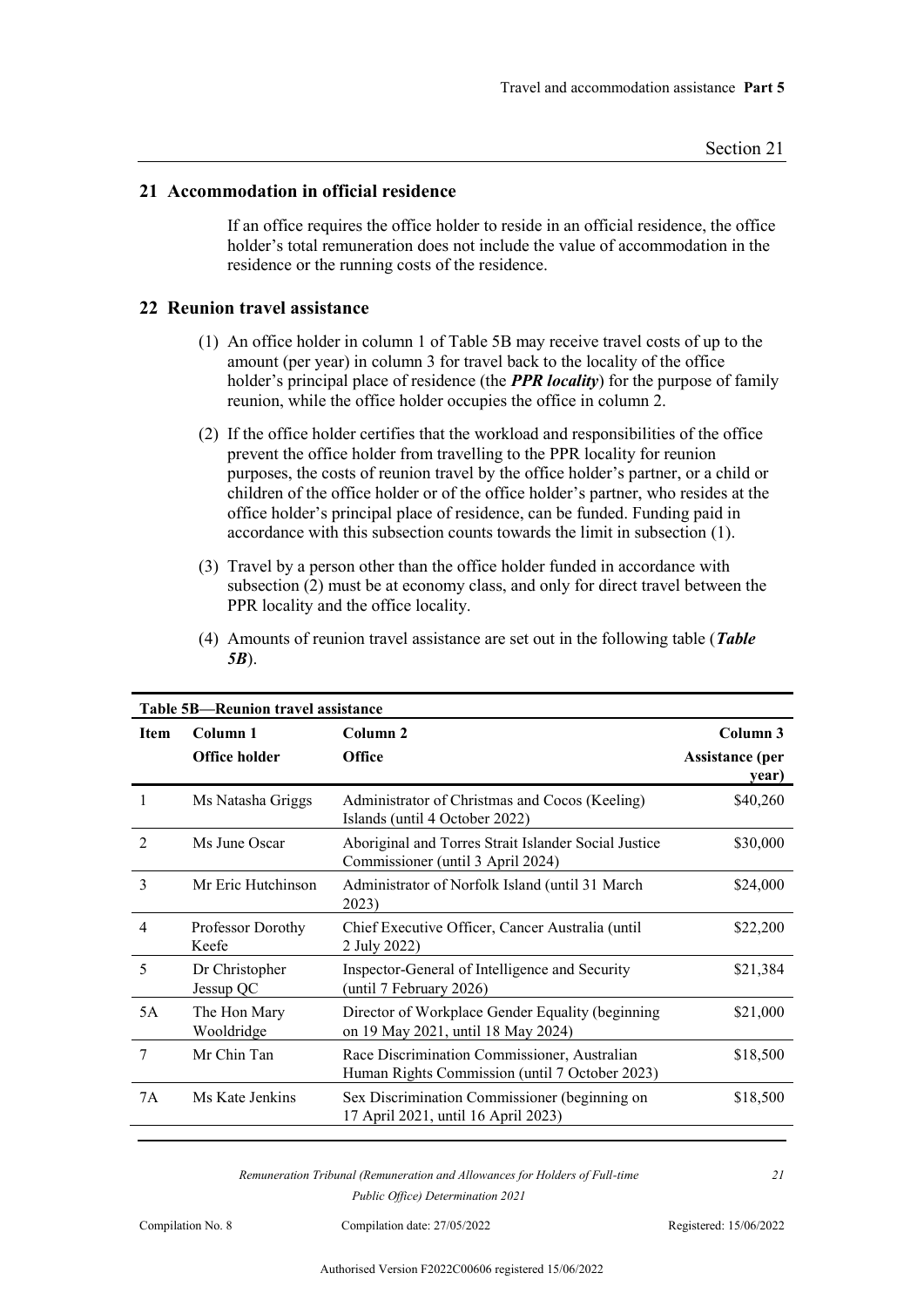#### **21 Accommodation in official residence**

If an office requires the office holder to reside in an official residence, the office holder's total remuneration does not include the value of accommodation in the residence or the running costs of the residence.

#### **22 Reunion travel assistance**

- (1) An office holder in column 1 of Table 5B may receive travel costs of up to the amount (per year) in column 3 for travel back to the locality of the office holder's principal place of residence (the *PPR locality*) for the purpose of family reunion, while the office holder occupies the office in column 2.
- (2) If the office holder certifies that the workload and responsibilities of the office prevent the office holder from travelling to the PPR locality for reunion purposes, the costs of reunion travel by the office holder's partner, or a child or children of the office holder or of the office holder's partner, who resides at the office holder's principal place of residence, can be funded. Funding paid in accordance with this subsection counts towards the limit in subsection (1).
- (3) Travel by a person other than the office holder funded in accordance with subsection  $(2)$  must be at economy class, and only for direct travel between the PPR locality and the office locality.

| (4) Amounts of reunion travel assistance are set out in the following table (Table |  |
|------------------------------------------------------------------------------------|--|
| $5B$ ).                                                                            |  |

| <b>Table 5B-Reunion travel assistance</b> |                                 |                                                                                                |                                 |  |
|-------------------------------------------|---------------------------------|------------------------------------------------------------------------------------------------|---------------------------------|--|
| <b>Item</b>                               | Column <sub>2</sub><br>Column 1 |                                                                                                | Column 3                        |  |
|                                           | <b>Office holder</b>            | <b>Office</b>                                                                                  | <b>Assistance</b> (per<br>year) |  |
|                                           | Ms Natasha Griggs               | Administrator of Christmas and Cocos (Keeling)<br>Islands (until 4 October 2022)               | \$40,260                        |  |
| $\overline{2}$                            | Ms June Oscar                   | Aboriginal and Torres Strait Islander Social Justice<br>Commissioner (until 3 April 2024)      | \$30,000                        |  |
| 3                                         | Mr Eric Hutchinson              | Administrator of Norfolk Island (until 31 March<br>2023)                                       | \$24,000                        |  |
| 4                                         | Professor Dorothy<br>Keefe      | Chief Executive Officer, Cancer Australia (until<br>2 July 2022)                               | \$22,200                        |  |
| 5                                         | Dr Christopher<br>Jessup QC     | Inspector-General of Intelligence and Security<br>(until 7 February 2026)                      | \$21,384                        |  |
| 5A                                        | The Hon Mary<br>Wooldridge      | Director of Workplace Gender Equality (beginning<br>on 19 May 2021, until 18 May 2024)         | \$21,000                        |  |
| 7                                         | Mr Chin Tan                     | Race Discrimination Commissioner, Australian<br>Human Rights Commission (until 7 October 2023) | \$18,500                        |  |
| 7A                                        | Ms Kate Jenkins                 | Sex Discrimination Commissioner (beginning on<br>17 April 2021, until 16 April 2023)           | \$18,500                        |  |

*Remuneration Tribunal (Remuneration and Allowances for Holders of Full-time Public Office) Determination 2021*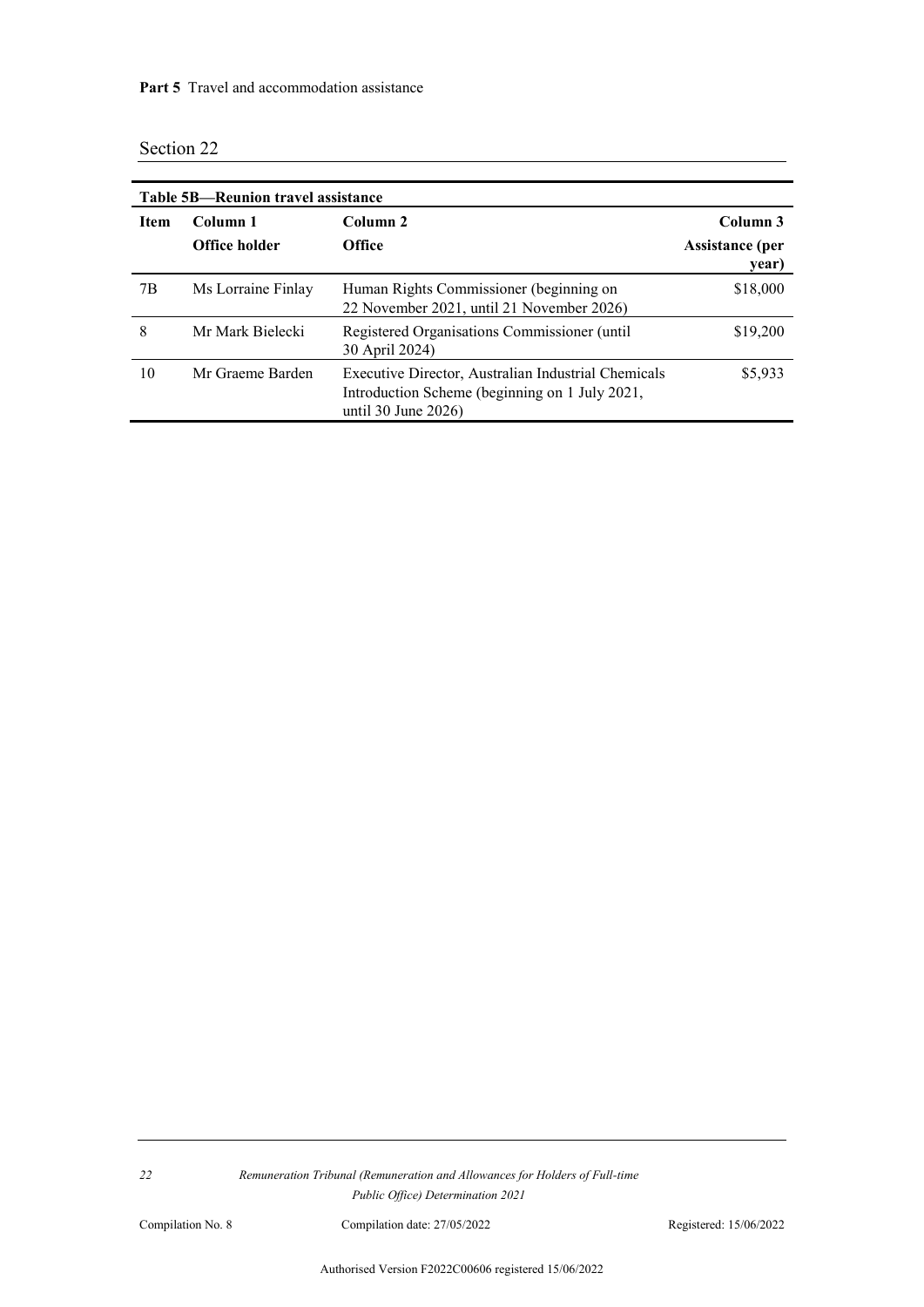| Table 5B—Reunion travel assistance |                                  |                                                                                                                                 |                                             |  |
|------------------------------------|----------------------------------|---------------------------------------------------------------------------------------------------------------------------------|---------------------------------------------|--|
| <b>Item</b>                        | Column 1<br><b>Office holder</b> | Column <sub>2</sub><br><b>Office</b>                                                                                            | Column 3<br><b>Assistance</b> (per<br>year) |  |
| 7B                                 | Ms Lorraine Finlay               | Human Rights Commissioner (beginning on<br>22 November 2021, until 21 November 2026)                                            | \$18,000                                    |  |
| 8                                  | Mr Mark Bielecki                 | Registered Organisations Commissioner (until<br>30 April 2024)                                                                  | \$19,200                                    |  |
| 10                                 | Mr Graeme Barden                 | Executive Director, Australian Industrial Chemicals<br>Introduction Scheme (beginning on 1 July 2021,<br>until 30 June $2026$ ) | \$5,933                                     |  |

<u> 1980 - Johann Stein, marwolaethau (b. 1980)</u>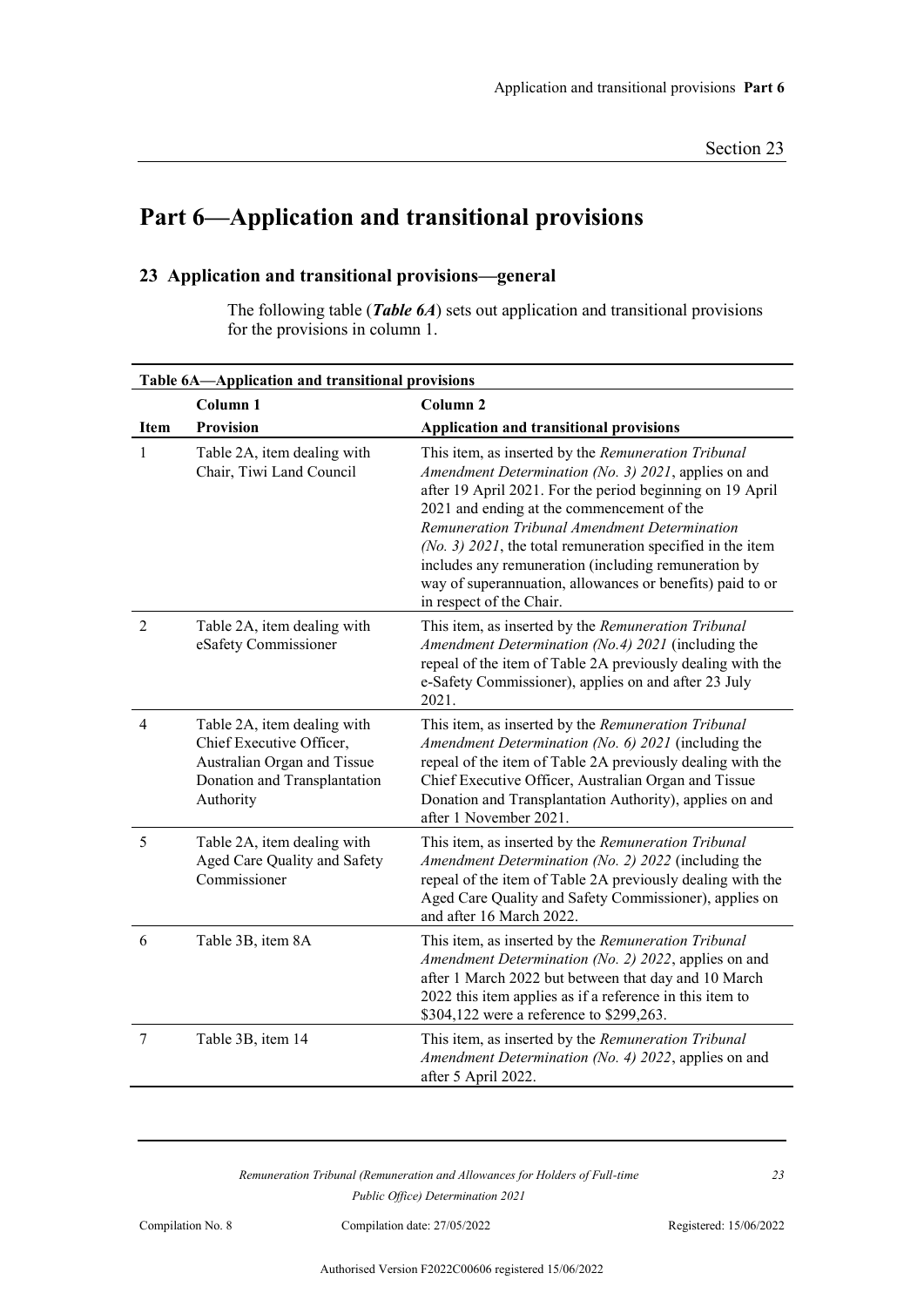# **Part 6—Application and transitional provisions**

## **23 Application and transitional provisions—general**

The following table (*Table 6A*) sets out application and transitional provisions for the provisions in column 1.

| Table 6A-Application and transitional provisions |                                                                                                                                     |                                                                                                                                                                                                                                                                                                                                                                                                                                                                                          |  |
|--------------------------------------------------|-------------------------------------------------------------------------------------------------------------------------------------|------------------------------------------------------------------------------------------------------------------------------------------------------------------------------------------------------------------------------------------------------------------------------------------------------------------------------------------------------------------------------------------------------------------------------------------------------------------------------------------|--|
|                                                  | Column <sub>1</sub>                                                                                                                 | Column <sub>2</sub>                                                                                                                                                                                                                                                                                                                                                                                                                                                                      |  |
| Item                                             | <b>Provision</b>                                                                                                                    | <b>Application and transitional provisions</b>                                                                                                                                                                                                                                                                                                                                                                                                                                           |  |
| $\mathbf{1}$                                     | Table 2A, item dealing with<br>Chair, Tiwi Land Council                                                                             | This item, as inserted by the Remuneration Tribunal<br>Amendment Determination (No. 3) 2021, applies on and<br>after 19 April 2021. For the period beginning on 19 April<br>2021 and ending at the commencement of the<br>Remuneration Tribunal Amendment Determination<br>$(No. 3)$ 2021, the total remuneration specified in the item<br>includes any remuneration (including remuneration by<br>way of superannuation, allowances or benefits) paid to or<br>in respect of the Chair. |  |
| $\overline{2}$                                   | Table 2A, item dealing with<br>eSafety Commissioner                                                                                 | This item, as inserted by the Remuneration Tribunal<br>Amendment Determination (No.4) 2021 (including the<br>repeal of the item of Table 2A previously dealing with the<br>e-Safety Commissioner), applies on and after 23 July<br>2021.                                                                                                                                                                                                                                                 |  |
| $\overline{4}$                                   | Table 2A, item dealing with<br>Chief Executive Officer,<br>Australian Organ and Tissue<br>Donation and Transplantation<br>Authority | This item, as inserted by the Remuneration Tribunal<br>Amendment Determination (No. 6) 2021 (including the<br>repeal of the item of Table 2A previously dealing with the<br>Chief Executive Officer, Australian Organ and Tissue<br>Donation and Transplantation Authority), applies on and<br>after 1 November 2021.                                                                                                                                                                    |  |
| 5                                                | Table 2A, item dealing with<br>Aged Care Quality and Safety<br>Commissioner                                                         | This item, as inserted by the Remuneration Tribunal<br>Amendment Determination (No. 2) 2022 (including the<br>repeal of the item of Table 2A previously dealing with the<br>Aged Care Quality and Safety Commissioner), applies on<br>and after 16 March 2022.                                                                                                                                                                                                                           |  |
| 6                                                | Table 3B, item 8A                                                                                                                   | This item, as inserted by the Remuneration Tribunal<br>Amendment Determination (No. 2) 2022, applies on and<br>after 1 March 2022 but between that day and 10 March<br>2022 this item applies as if a reference in this item to<br>\$304,122 were a reference to \$299,263.                                                                                                                                                                                                              |  |
| 7                                                | Table 3B, item 14                                                                                                                   | This item, as inserted by the Remuneration Tribunal<br>Amendment Determination (No. 4) 2022, applies on and<br>after 5 April 2022.                                                                                                                                                                                                                                                                                                                                                       |  |

*Remuneration Tribunal (Remuneration and Allowances for Holders of Full-time Public Office) Determination 2021*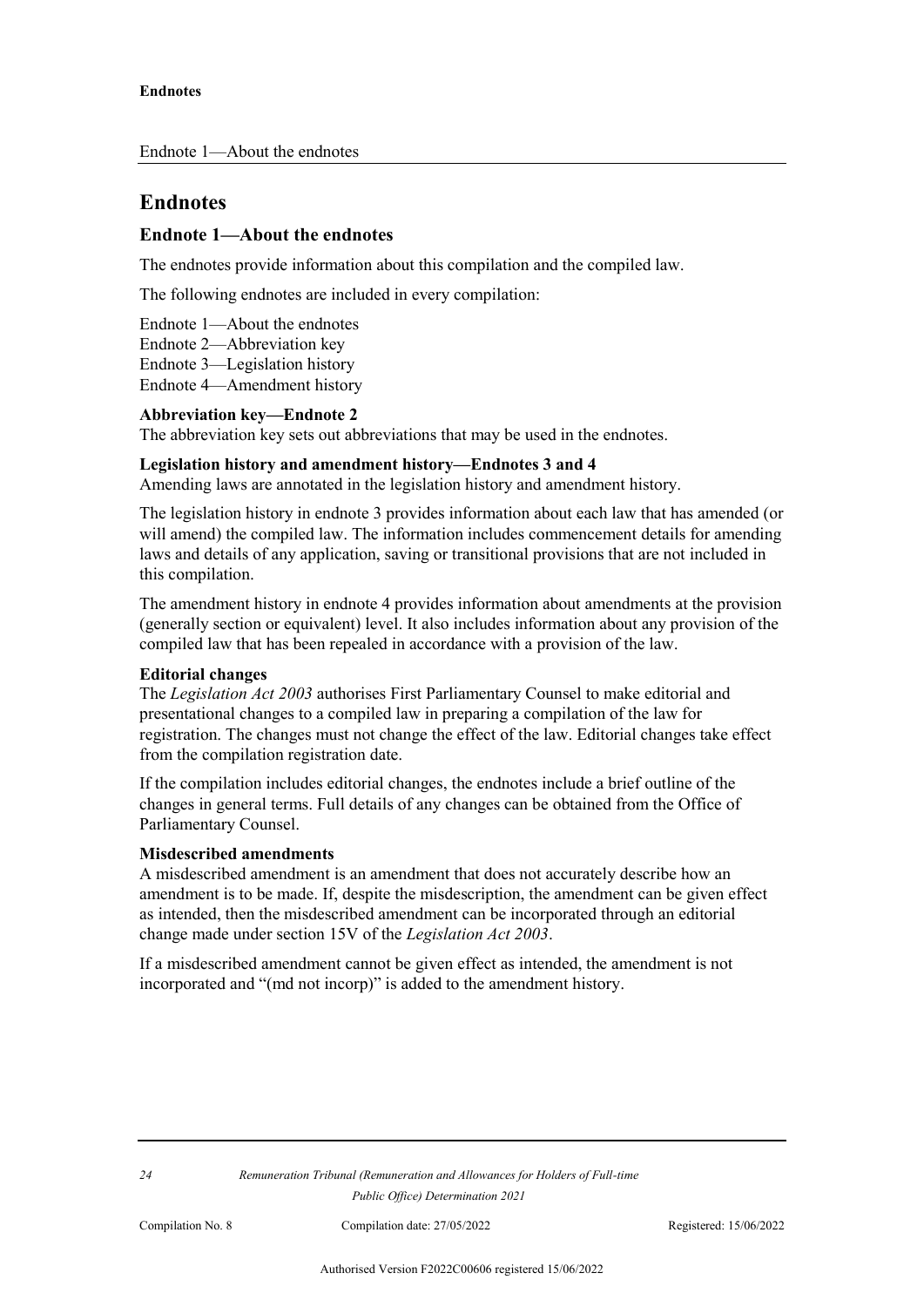## **Endnotes**

### **Endnote 1—About the endnotes**

The endnotes provide information about this compilation and the compiled law.

The following endnotes are included in every compilation:

Endnote 1—About the endnotes

Endnote 2—Abbreviation key

Endnote 3—Legislation history

Endnote 4—Amendment history

#### **Abbreviation key—Endnote 2**

The abbreviation key sets out abbreviations that may be used in the endnotes.

#### **Legislation history and amendment history—Endnotes 3 and 4**

Amending laws are annotated in the legislation history and amendment history.

The legislation history in endnote 3 provides information about each law that has amended (or will amend) the compiled law. The information includes commencement details for amending laws and details of any application, saving or transitional provisions that are not included in this compilation.

The amendment history in endnote 4 provides information about amendments at the provision (generally section or equivalent) level. It also includes information about any provision of the compiled law that has been repealed in accordance with a provision of the law.

#### **Editorial changes**

The *Legislation Act 2003* authorises First Parliamentary Counsel to make editorial and presentational changes to a compiled law in preparing a compilation of the law for registration. The changes must not change the effect of the law. Editorial changes take effect from the compilation registration date.

If the compilation includes editorial changes, the endnotes include a brief outline of the changes in general terms. Full details of any changes can be obtained from the Office of Parliamentary Counsel.

#### **Misdescribed amendments**

A misdescribed amendment is an amendment that does not accurately describe how an amendment is to be made. If, despite the misdescription, the amendment can be given effect as intended, then the misdescribed amendment can be incorporated through an editorial change made under section 15V of the *Legislation Act 2003*.

If a misdescribed amendment cannot be given effect as intended, the amendment is not incorporated and "(md not incorp)" is added to the amendment history.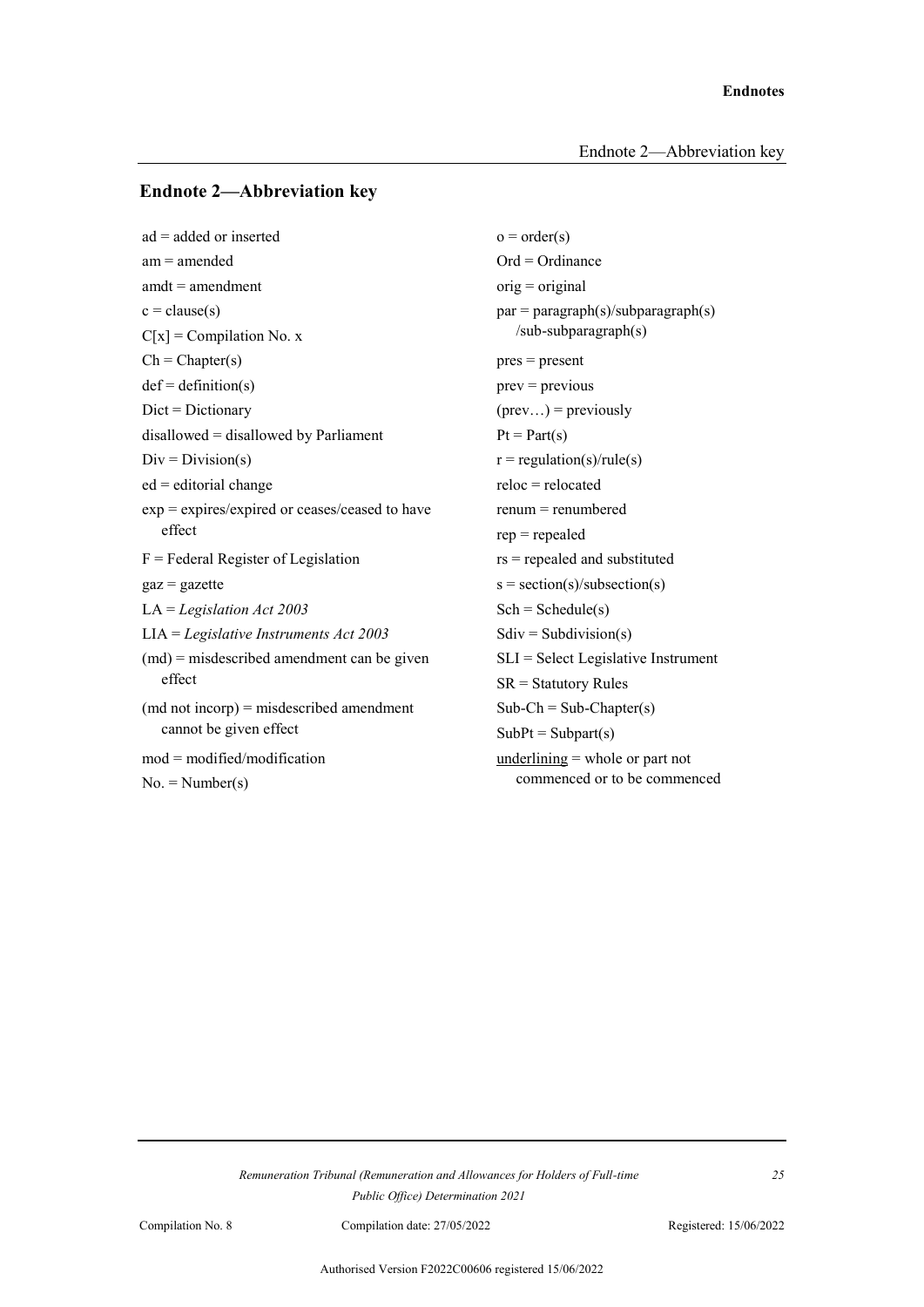#### **Endnote 2—Abbreviation key**

 $ad = added \text{ or inserted}$   $o = order(s)$ am = amended Ord = Ordinance  $amdt = amendment$  orig = original  $c = \text{clause}(s)$  par = paragraph(s)/subparagraph(s)  $C[x] = Compilation No. x$  /sub-subparagraph(s)  $Ch = Chapter(s)$  pres = present  $def = definition(s)$  prev = previous  $Dict = Dictionary$  (prev...) = previously disallowed = disallowed by Parliament  $Pt = Part(s)$  $Div = Division(s)$   $r = regulation(s)/rule(s)$  $ed =$  editorial change reloc = relocated  $exp = expires/expired$  or ceases/ceased to have renum = renumbered effect rep = repealed  $F =$  Federal Register of Legislation rs = repealed and substituted  $gaz = gazette$  s = section(s)/subsection(s) LA = *Legislation Act 2003* Sch = Schedule(s) LIA = *Legislative Instruments Act 2003* Sdiv = Subdivision(s) (md) = misdescribed amendment can be given SLI = Select Legislative Instrument effect SR = Statutory Rules  $(\text{md not incorpor}) = \text{misdescribed amendment}$  Sub-Ch = Sub-Chapter(s) cannot be given effect  $SubPt = Subpart(s)$ mod = modified/modification underlining = whole or part not  $No. = Number(s)$  commenced or to be commenced

*Remuneration Tribunal (Remuneration and Allowances for Holders of Full-time Public Office) Determination 2021*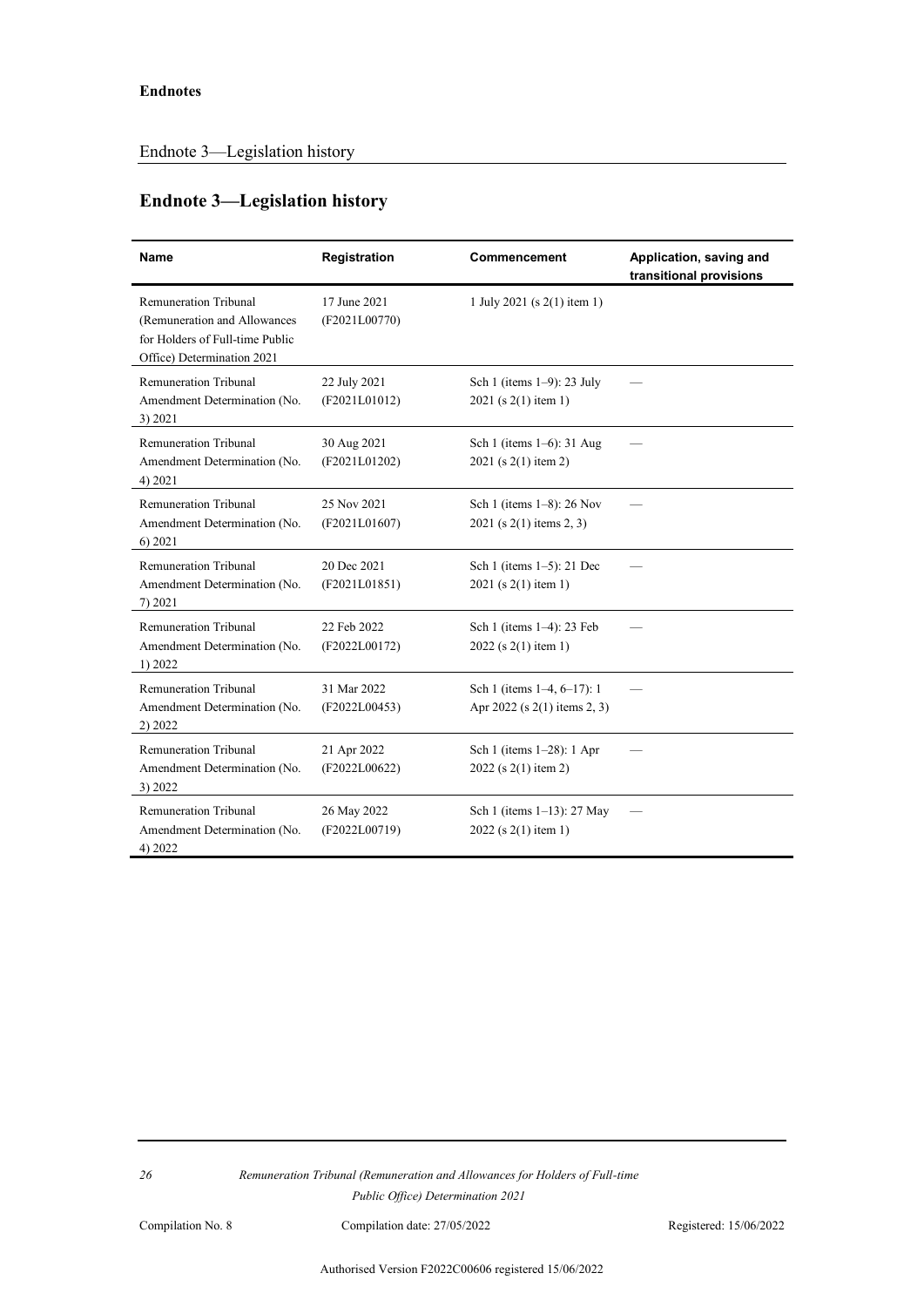## **Endnote 3—Legislation history**

| Name                                                                                                                          | <b>Registration</b>           | Commencement                                               | Application, saving and<br>transitional provisions |  |
|-------------------------------------------------------------------------------------------------------------------------------|-------------------------------|------------------------------------------------------------|----------------------------------------------------|--|
| <b>Remuneration Tribunal</b><br>(Remuneration and Allowances<br>for Holders of Full-time Public<br>Office) Determination 2021 | 17 June 2021<br>(F2021L00770) | 1 July 2021 (s 2(1) item 1)                                |                                                    |  |
| <b>Remuneration Tribunal</b><br>Amendment Determination (No.<br>3) 2021                                                       | 22 July 2021<br>(F2021L01012) | Sch 1 (items $1-9$ ): 23 July<br>2021 (s 2(1) item 1)      |                                                    |  |
| Remuneration Tribunal<br>Amendment Determination (No.<br>4) 2021                                                              | 30 Aug 2021<br>(F2021L01202)  | Sch 1 (items 1–6): 31 Aug<br>2021 (s 2(1) item 2)          |                                                    |  |
| <b>Remuneration Tribunal</b><br>Amendment Determination (No.<br>6) 2021                                                       | 25 Nov 2021<br>(F2021L01607)  | Sch 1 (items 1-8): 26 Nov<br>$2021$ (s 2(1) items 2, 3)    |                                                    |  |
| <b>Remuneration Tribunal</b><br>Amendment Determination (No.<br>7) 2021                                                       | 20 Dec 2021<br>(F2021L01851)  | Sch 1 (items 1–5): 21 Dec<br>2021 (s 2(1) item 1)          |                                                    |  |
| <b>Remuneration Tribunal</b><br>Amendment Determination (No.<br>1) 2022                                                       | 22 Feb 2022<br>(F2022L00172)  | Sch 1 (items 1-4): 23 Feb<br>$2022$ (s 2(1) item 1)        |                                                    |  |
| <b>Remuneration Tribunal</b><br>Amendment Determination (No.<br>2) 2022                                                       | 31 Mar 2022<br>(F2022L00453)  | Sch 1 (items 1–4, 6–17): 1<br>Apr 2022 (s 2(1) items 2, 3) |                                                    |  |
| Remuneration Tribunal<br>Amendment Determination (No.<br>3) 2022                                                              | 21 Apr 2022<br>(F2022L00622)  | Sch 1 (items 1-28): 1 Apr<br>2022 (s 2(1) item 2)          |                                                    |  |
| <b>Remuneration Tribunal</b><br>Amendment Determination (No.<br>4) 2022                                                       | 26 May 2022<br>(F2022L00719)  | Sch 1 (items 1-13): 27 May<br>$2022$ (s 2(1) item 1)       |                                                    |  |